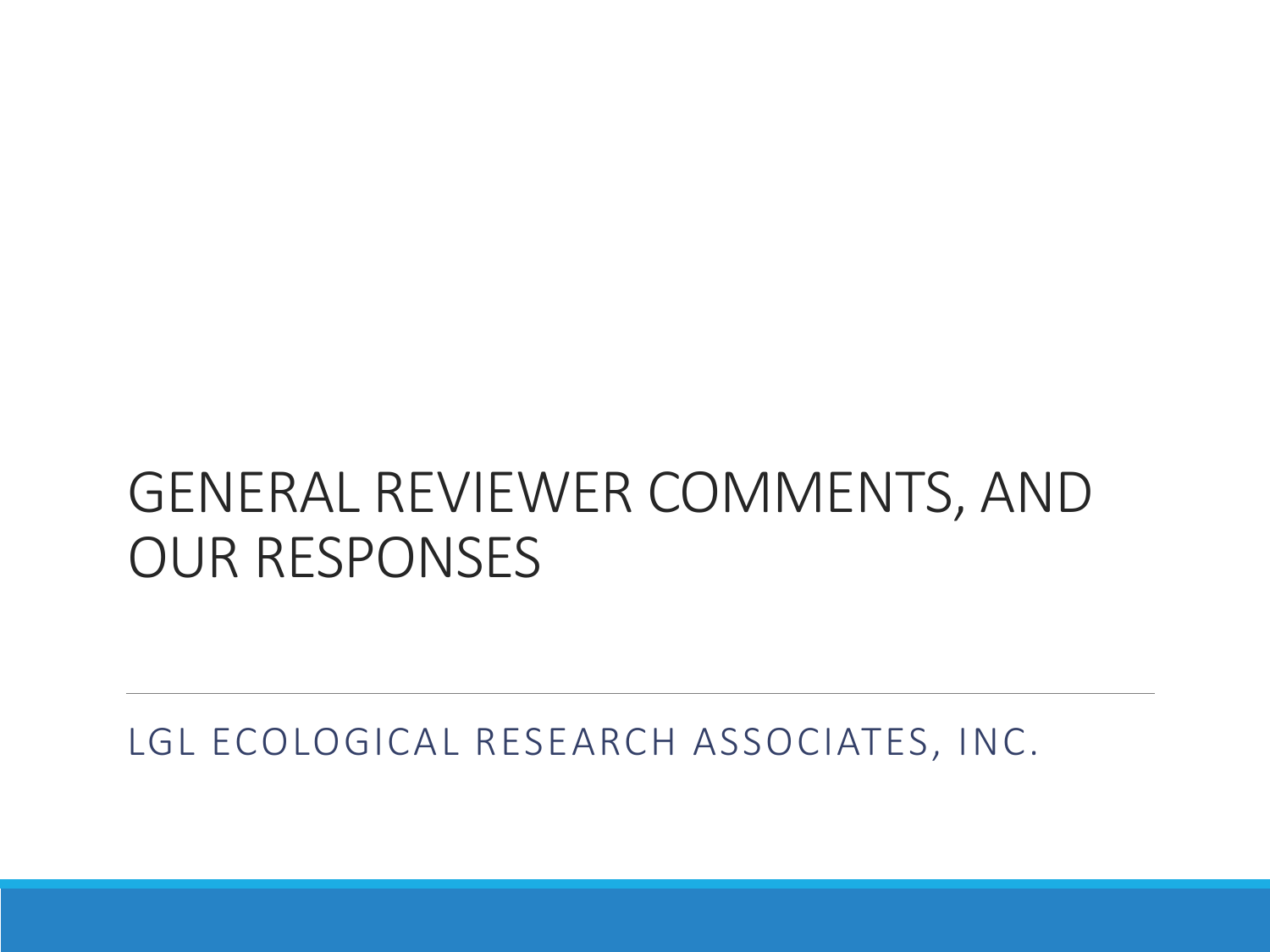# GENERAL REVIEWER COMMENTS, AND OUR RESPONSES

LGL ECOLOGICAL RESEARCH ASSOCIATES, INC.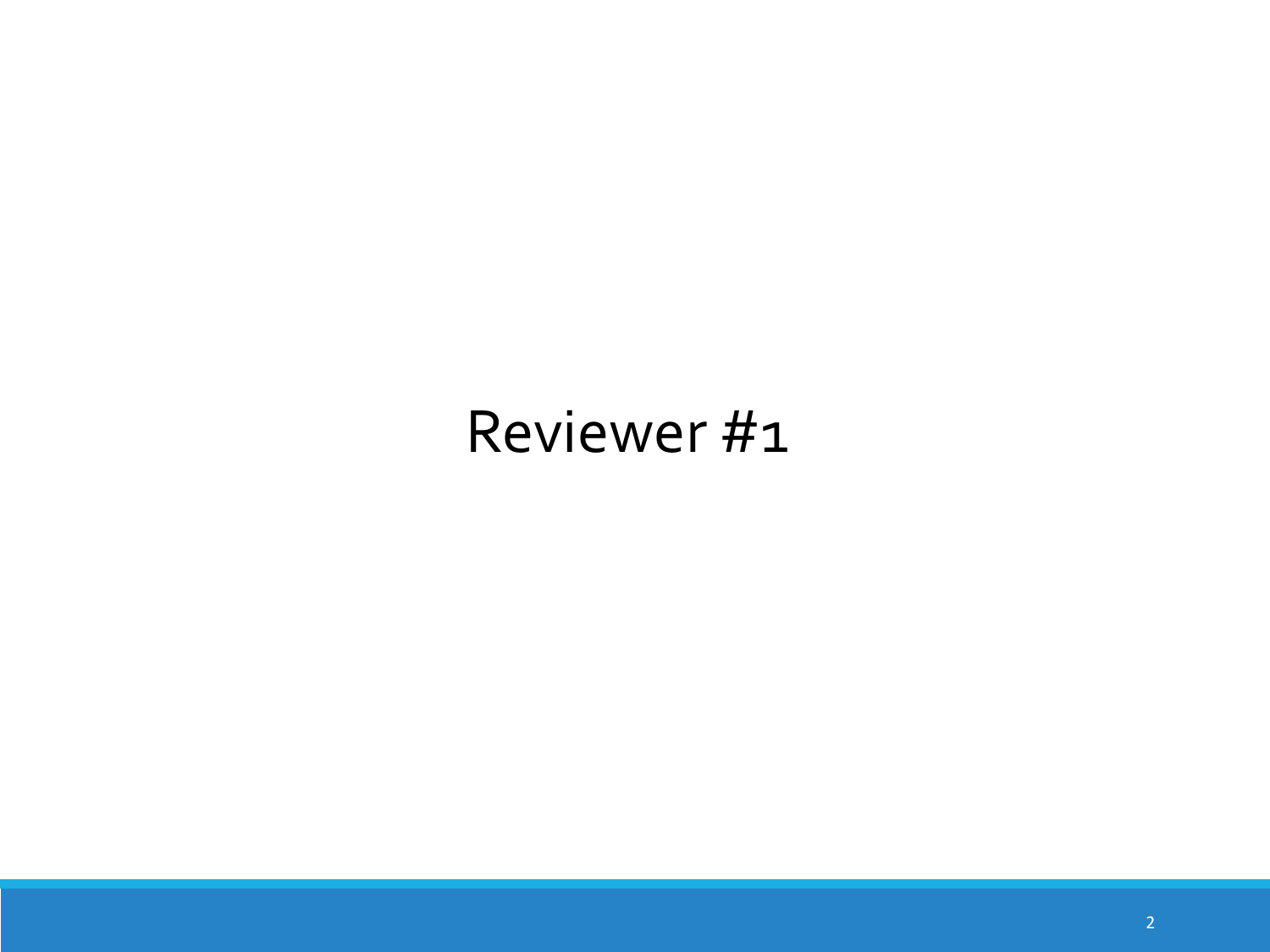# Reviewer #1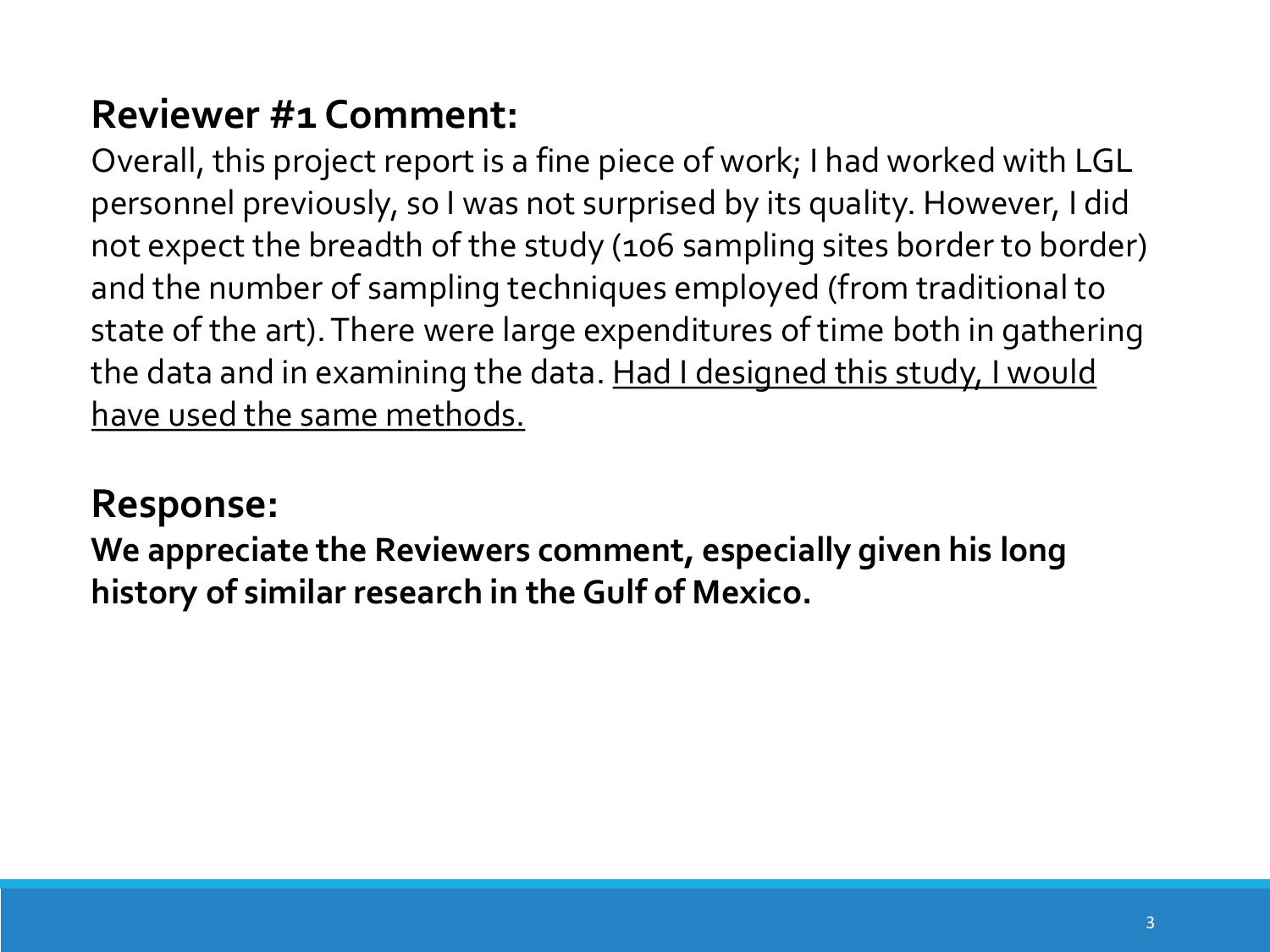Overall, this project report is a fine piece of work; I had worked with LGL personnel previously, so I was not surprised by its quality. However, I did not expect the breadth of the study (106 sampling sites border to border) and the number of sampling techniques employed (from traditional to state of the art). There were large expenditures of time both in gathering the data and in examining the data. Had I designed this study, I would have used the same methods.

# **Response:**

**We appreciate the Reviewers comment, especially given his long history of similar research in the Gulf of Mexico.**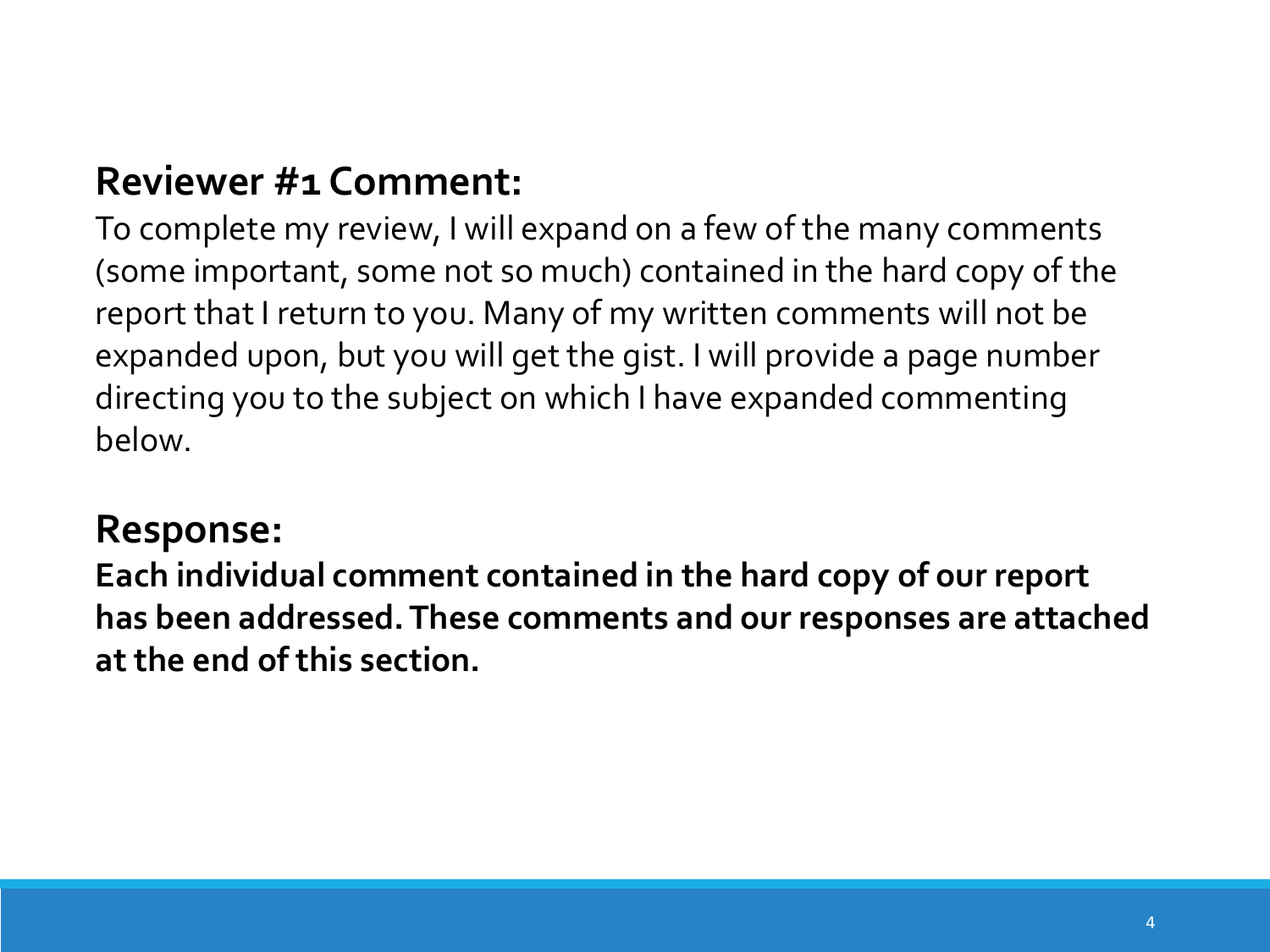To complete my review, I will expand on a few of the many comments (some important, some not so much) contained in the hard copy of the report that I return to you. Many of my written comments will not be expanded upon, but you will get the gist. I will provide a page number directing you to the subject on which I have expanded commenting below.

#### **Response:**

**Each individual comment contained in the hard copy of our report has been addressed. These comments and our responses are attached at the end of this section.**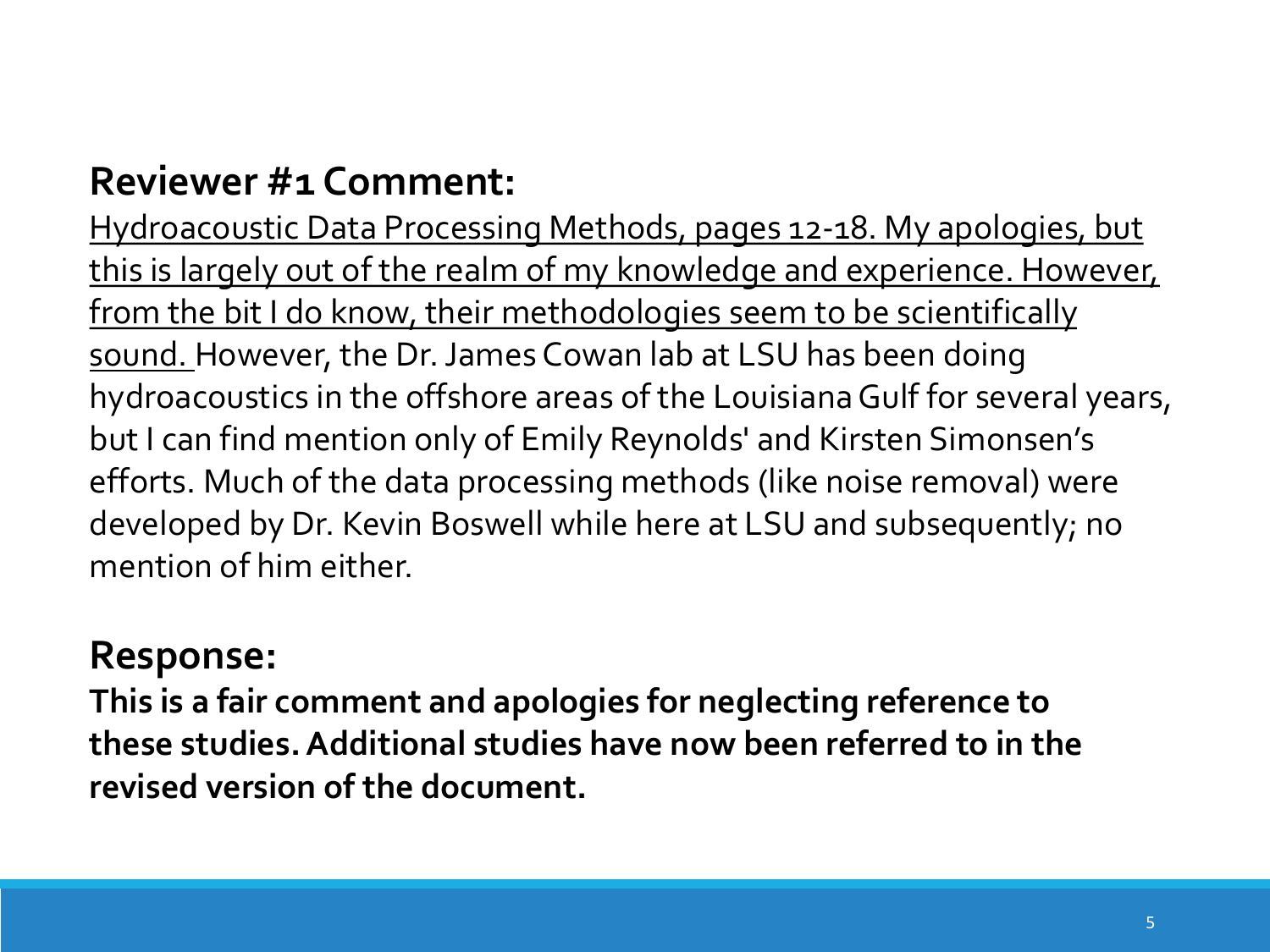Hydroacoustic Data Processing Methods, pages 12-18. My apologies, but this is largely out of the realm of my knowledge and experience. However, from the bit I do know, their methodologies seem to be scientifically sound. However, the Dr. James Cowan lab at LSU has been doing hydroacoustics in the offshore areas of the Louisiana Gulf for several years, but I can find mention only of Emily Reynolds' and Kirsten Simonsen's efforts. Much of the data processing methods (like noise removal) were developed by Dr. Kevin Boswell while here at LSU and subsequently; no mention of him either.

# **Response:**

**This is a fair comment and apologies for neglecting reference to these studies. Additional studies have now been referred to in the revised version of the document.**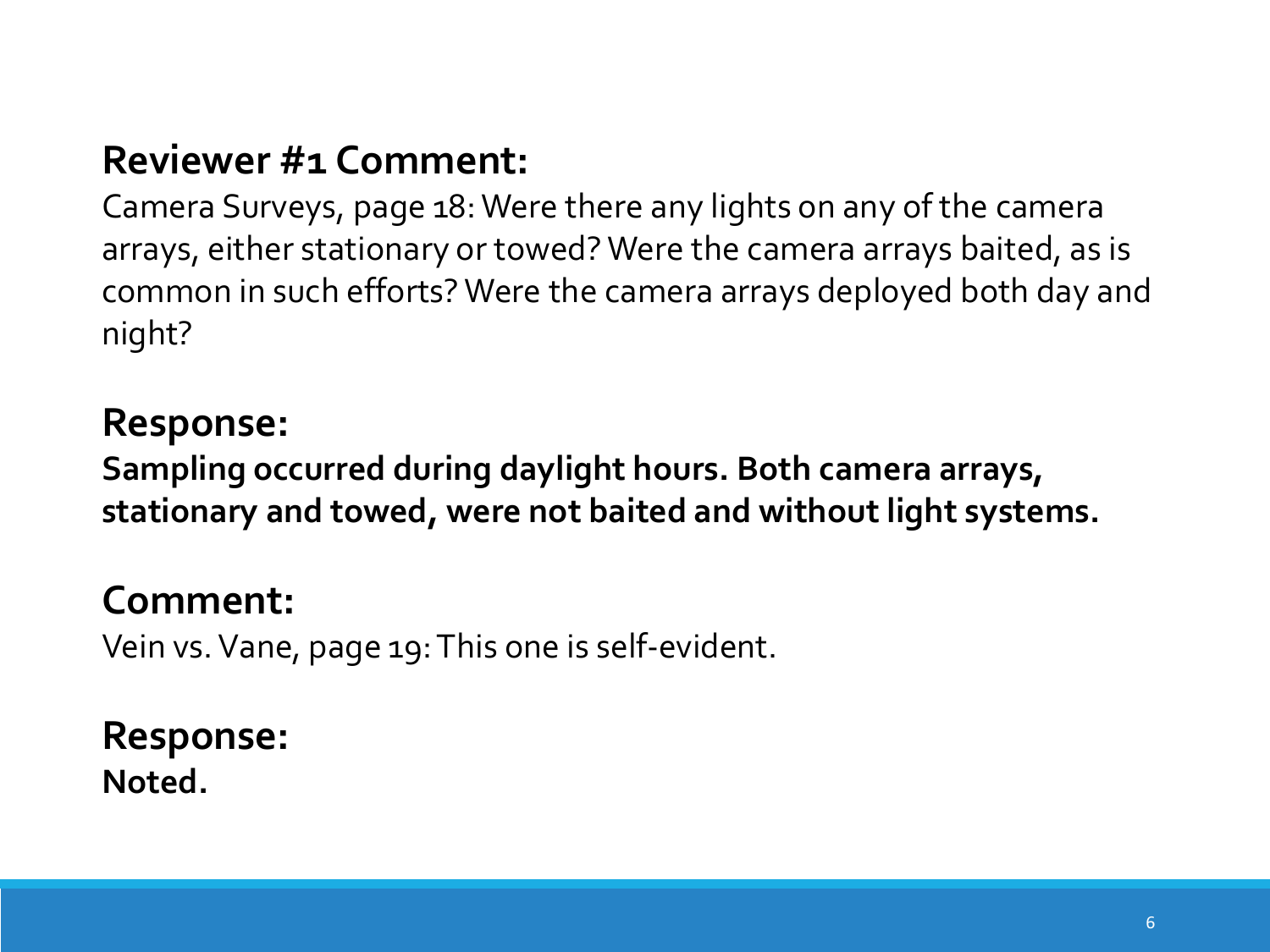Camera Surveys, page 18: Were there any lights on any of the camera arrays, either stationary or towed? Were the camera arrays baited, as is common in such efforts? Were the camera arrays deployed both day and night?

#### **Response:**

**Sampling occurred during daylight hours. Both camera arrays, stationary and towed, were not baited and without light systems.**

#### **Comment:**

Vein vs. Vane, page 19: This one is self-evident.

#### **Response: Noted.**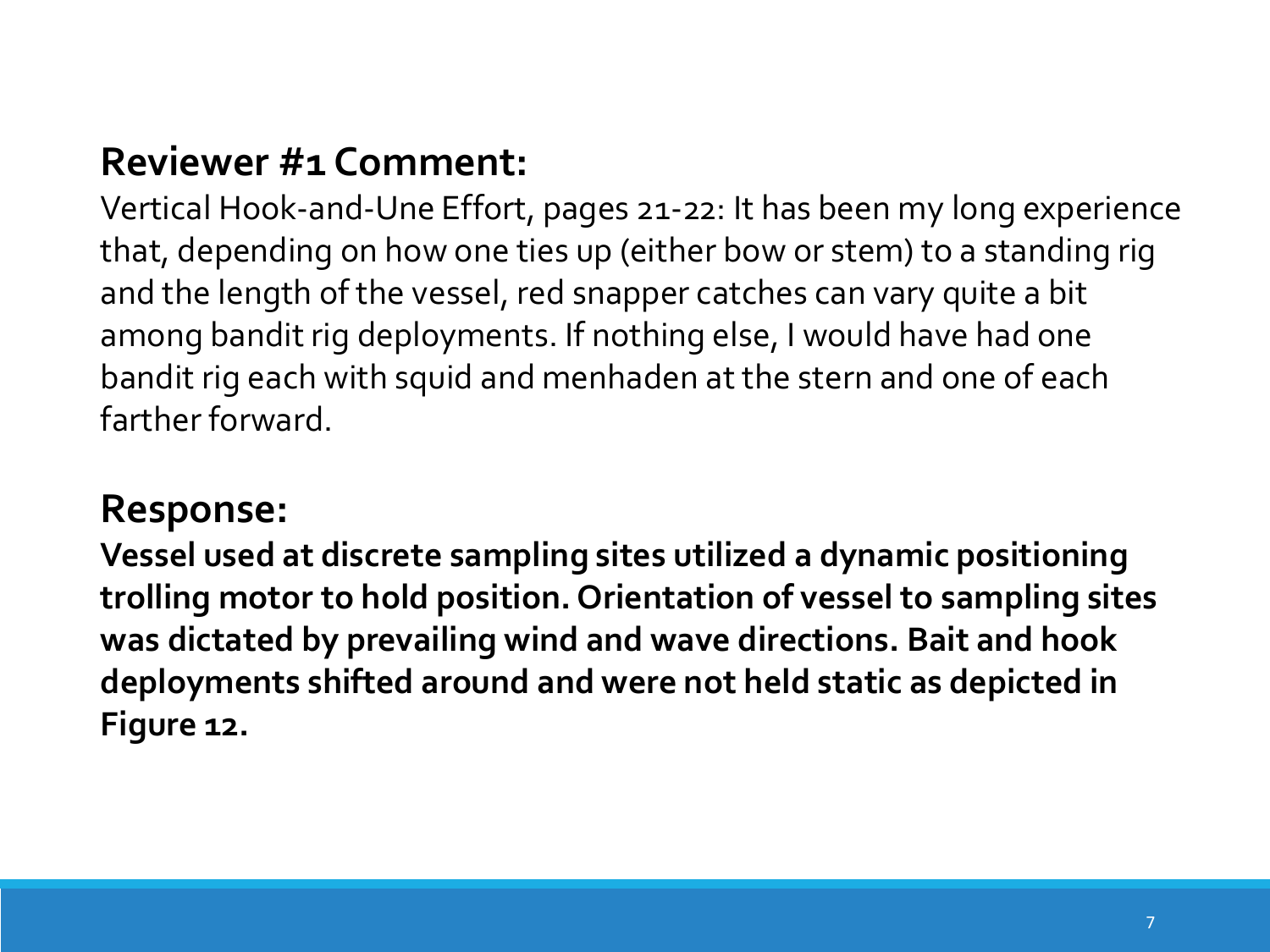Vertical Hook-and-Une Effort, pages 21-22: It has been my long experience that, depending on how one ties up (either bow or stem) to a standing rig and the length of the vessel, red snapper catches can vary quite a bit among bandit rig deployments. If nothing else, I would have had one bandit rig each with squid and menhaden at the stern and one of each farther forward.

#### **Response:**

**Vessel used at discrete sampling sites utilized a dynamic positioning trolling motor to hold position. Orientation of vessel to sampling sites was dictated by prevailing wind and wave directions. Bait and hook deployments shifted around and were not held static as depicted in Figure 12.**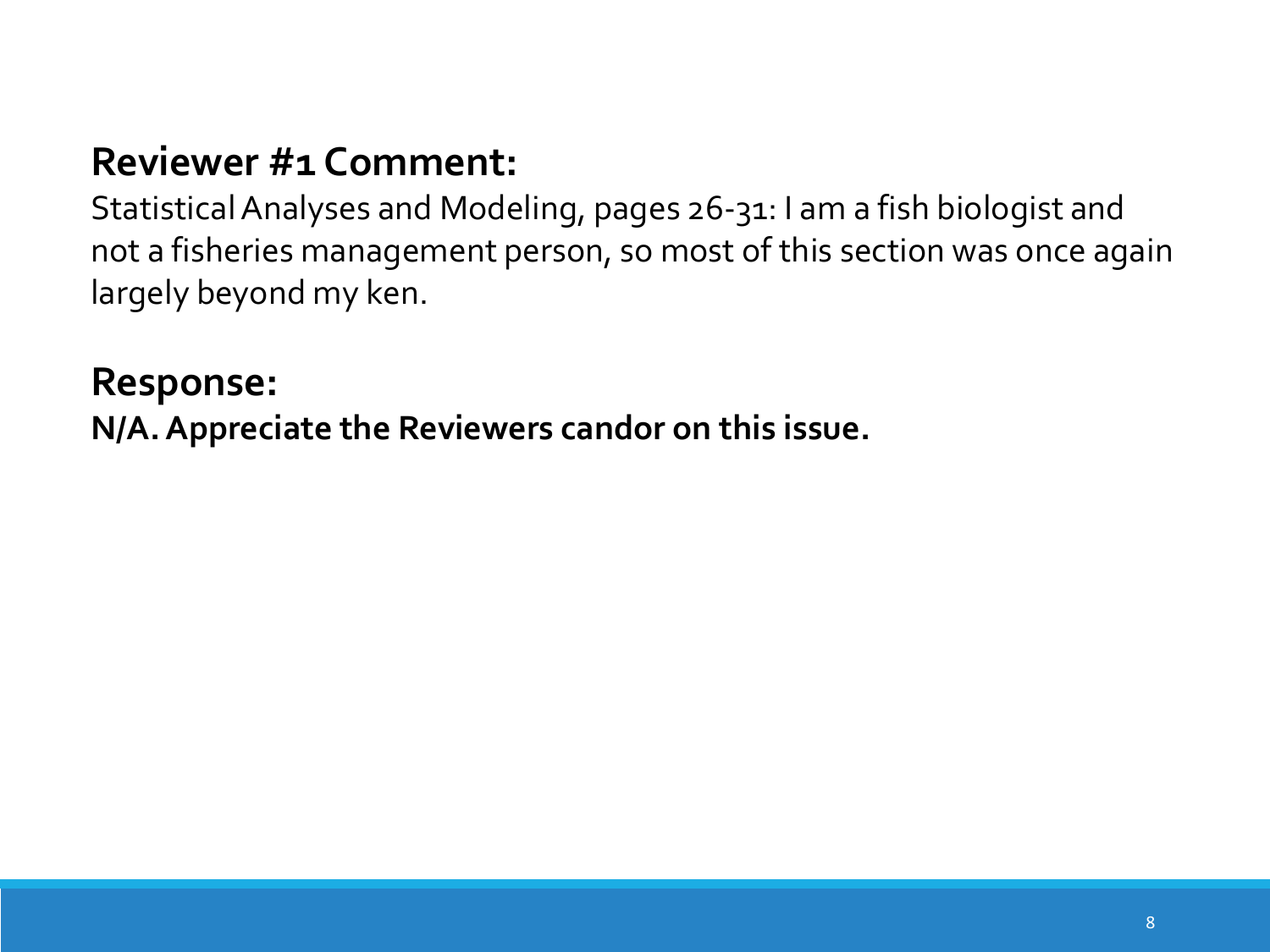Statistical Analyses and Modeling, pages 26-31: I am a fish biologist and not a fisheries management person, so most of this section was once again largely beyond my ken.

#### **Response:**

**N/A. Appreciate the Reviewers candor on this issue.**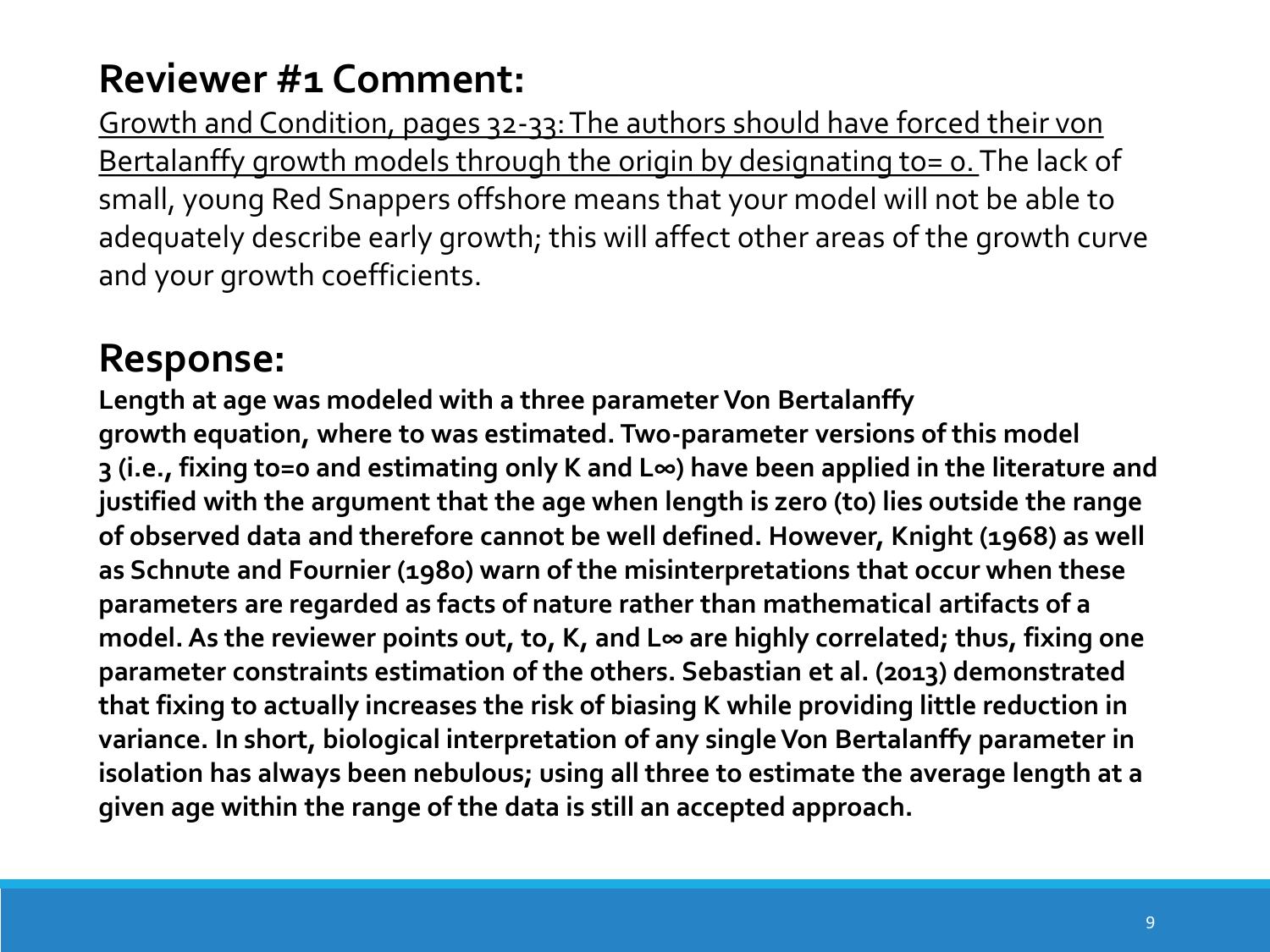Growth and Condition, pages 32-33: The authors should have forced their von Bertalanffy growth models through the origin by designating to= o. The lack of small, young Red Snappers offshore means that your model will not be able to adequately describe early growth; this will affect other areas of the growth curve and your growth coefficients.

# **Response:**

**Length at age was modeled with a three parameter Von Bertalanffy growth equation, where to was estimated. Two-parameter versions of this model 3 (i.e., fixing to=0 and estimating only K and L∞) have been applied in the literature and justified with the argument that the age when length is zero (to) lies outside the range of observed data and therefore cannot be well defined. However, Knight (1968) as well as Schnute and Fournier (1980) warn of the misinterpretations that occur when these parameters are regarded as facts of nature rather than mathematical artifacts of a model. As the reviewer points out, to, K, and L∞ are highly correlated; thus, fixing one parameter constraints estimation of the others. Sebastian et al. (2013) demonstrated that fixing to actually increases the risk of biasing K while providing little reduction in variance. In short, biological interpretation of any single Von Bertalanffy parameter in isolation has always been nebulous; using all three to estimate the average length at a given age within the range of the data is still an accepted approach.**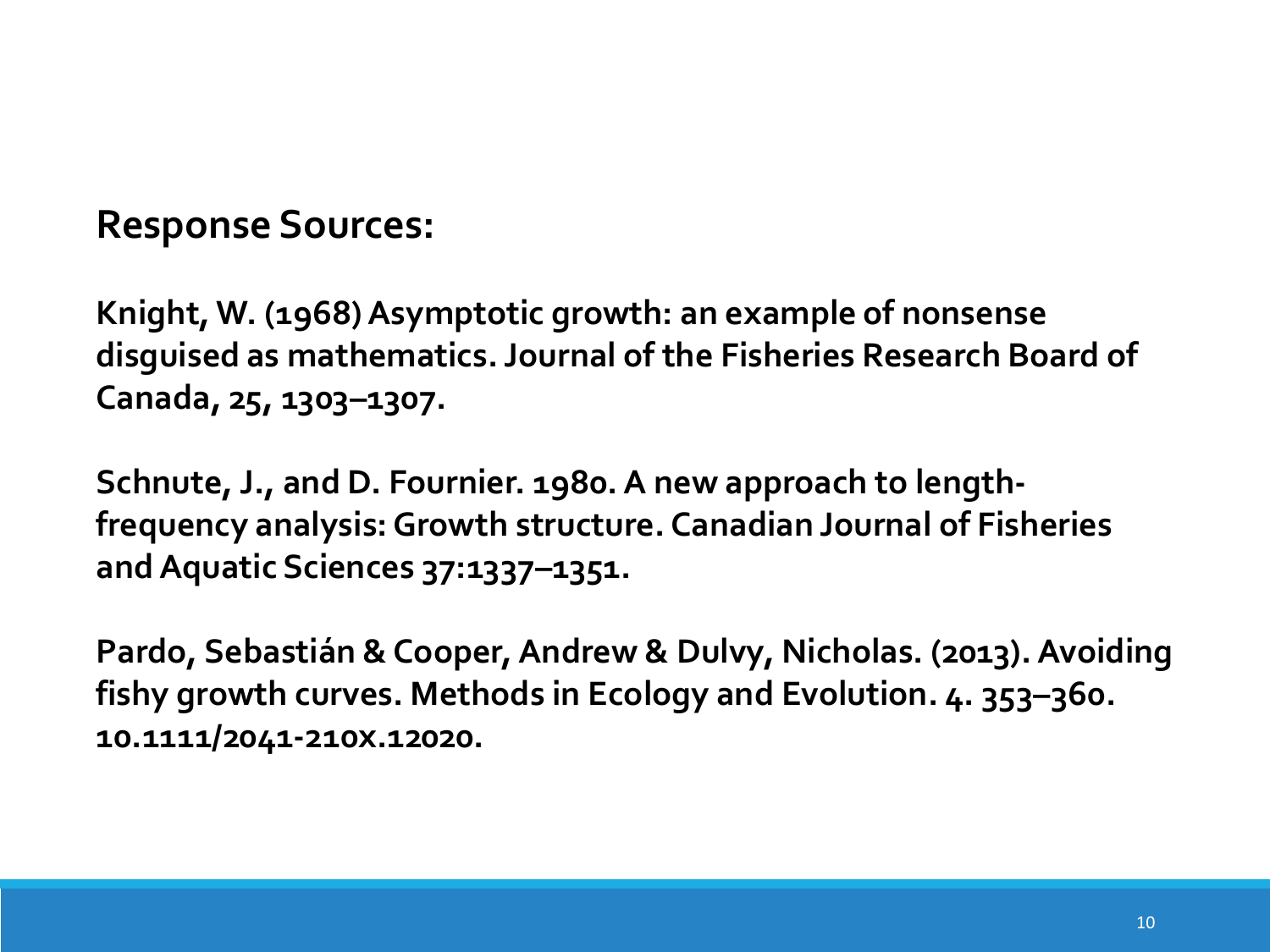## **Response Sources:**

**Knight, W. (1968) Asymptotic growth: an example of nonsense disguised as mathematics. Journal of the Fisheries Research Board of Canada, 25, 1303–1307.**

**Schnute, J., and D. Fournier. 1980. A new approach to lengthfrequency analysis: Growth structure. Canadian Journal of Fisheries and Aquatic Sciences 37:1337–1351.**

**Pardo, Sebastián & Cooper, Andrew & Dulvy, Nicholas. (2013). Avoiding fishy growth curves. Methods in Ecology and Evolution. 4. 353–360. 10.1111/2041-210x.12020.**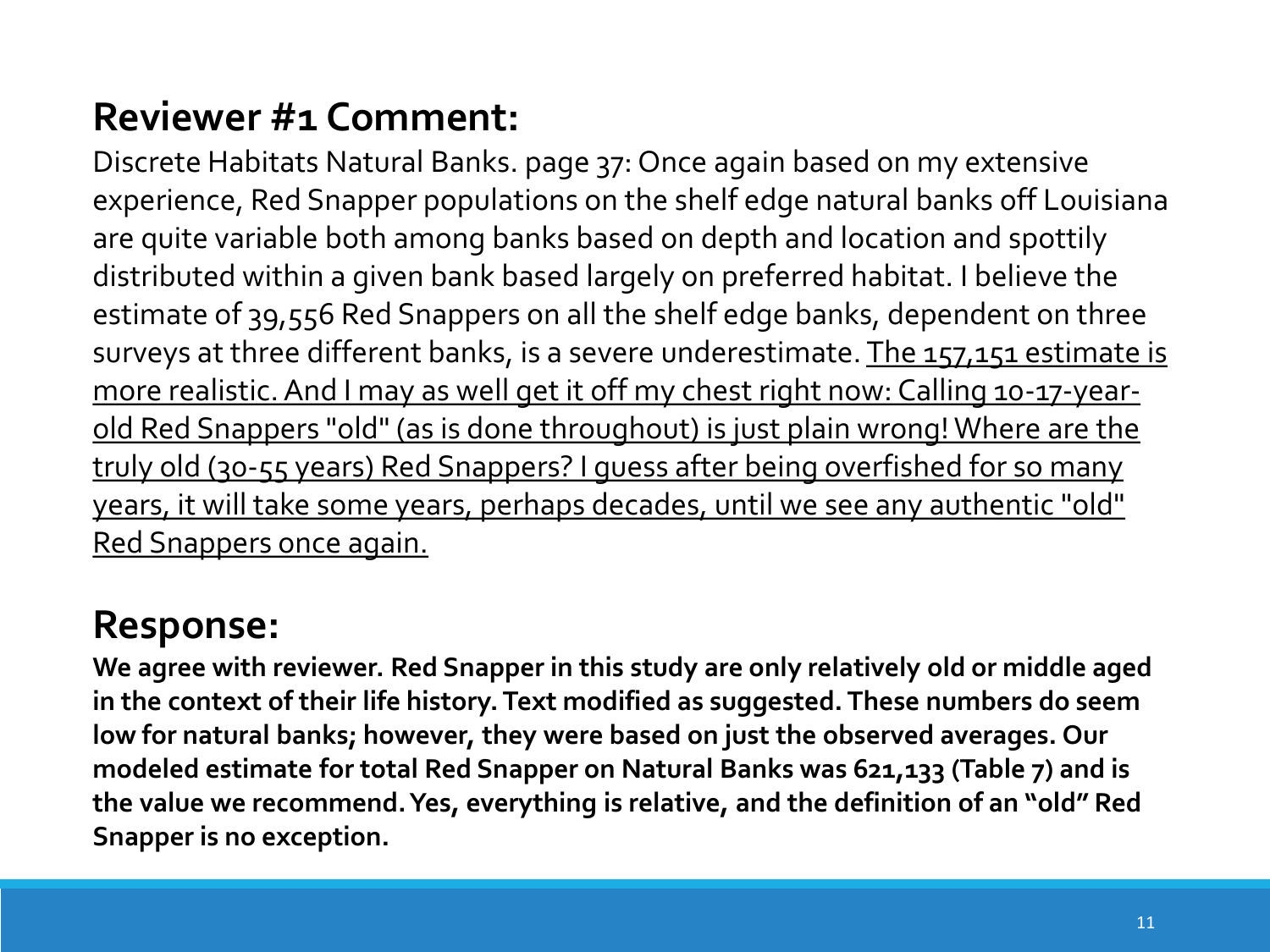Discrete Habitats Natural Banks. page 37: Once again based on my extensive experience, Red Snapper populations on the shelf edge natural banks off Louisiana are quite variable both among banks based on depth and location and spottily distributed within a given bank based largely on preferred habitat. I believe the estimate of 39,556 Red Snappers on all the shelf edge banks, dependent on three surveys at three different banks, is a severe underestimate. The 157,151 estimate is more realistic. And I may as well get it off my chest right now: Calling 10-17-yearold Red Snappers "old" (as is done throughout) is just plain wrong! Where are the truly old (30-55 years) Red Snappers? I guess after being overfished for so many years, it will take some years, perhaps decades, until we see any authentic "old" Red Snappers once again.

# **Response:**

**We agree with reviewer. Red Snapper in this study are only relatively old or middle aged in the context of their life history. Text modified as suggested. These numbers do seem low for natural banks; however, they were based on just the observed averages. Our modeled estimate for total Red Snapper on Natural Banks was 621,133 (Table 7) and is the value we recommend. Yes, everything is relative, and the definition of an "old" Red Snapper is no exception.**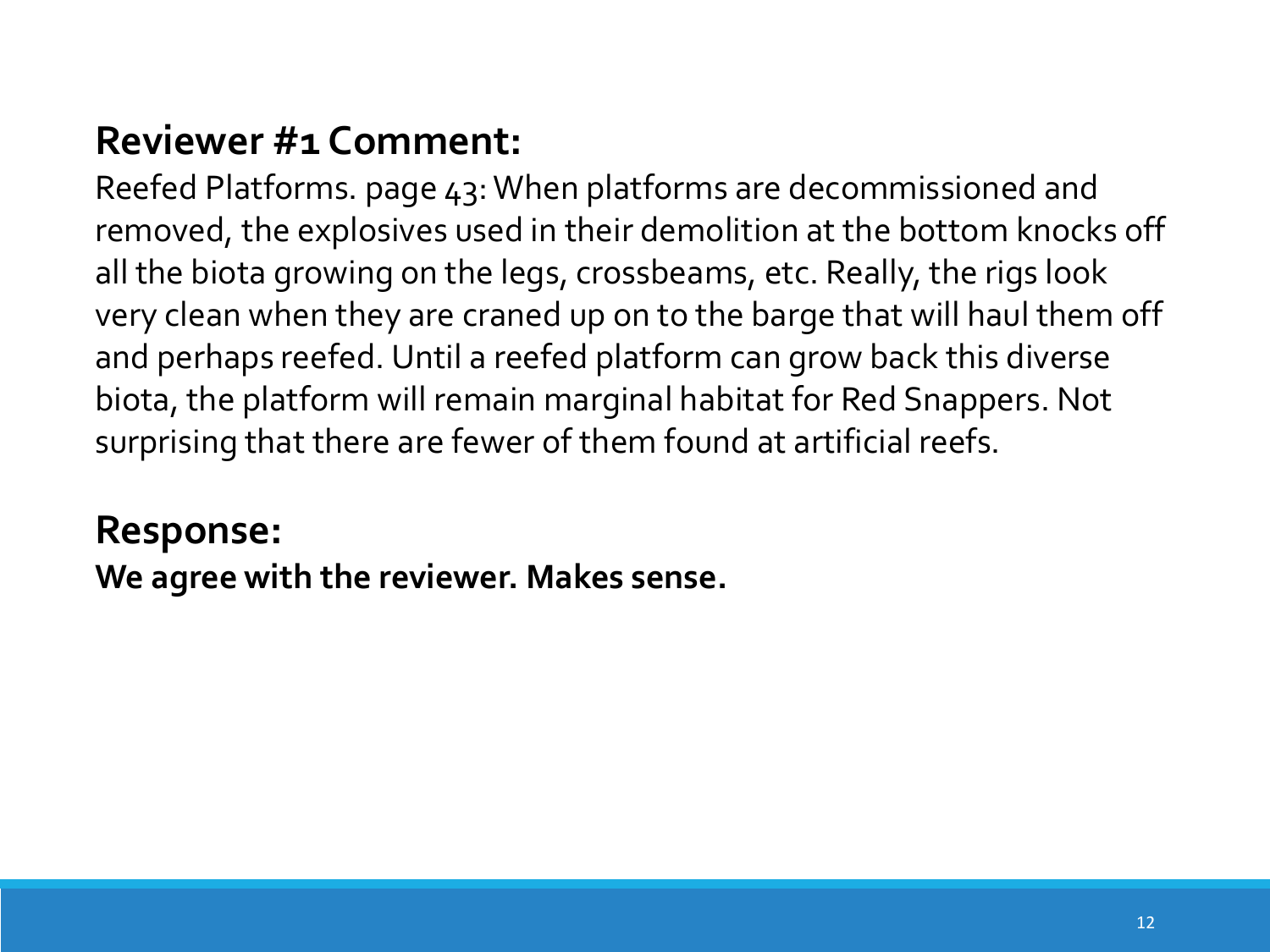Reefed Platforms. page 43: When platforms are decommissioned and removed, the explosives used in their demolition at the bottom knocks off all the biota growing on the legs, crossbeams, etc. Really, the rigs look very clean when they are craned up on to the barge that will haul them off and perhaps reefed. Until a reefed platform can grow back this diverse biota, the platform will remain marginal habitat for Red Snappers. Not surprising that there are fewer of them found at artificial reefs.

# **Response:**

**We agree with the reviewer. Makes sense.**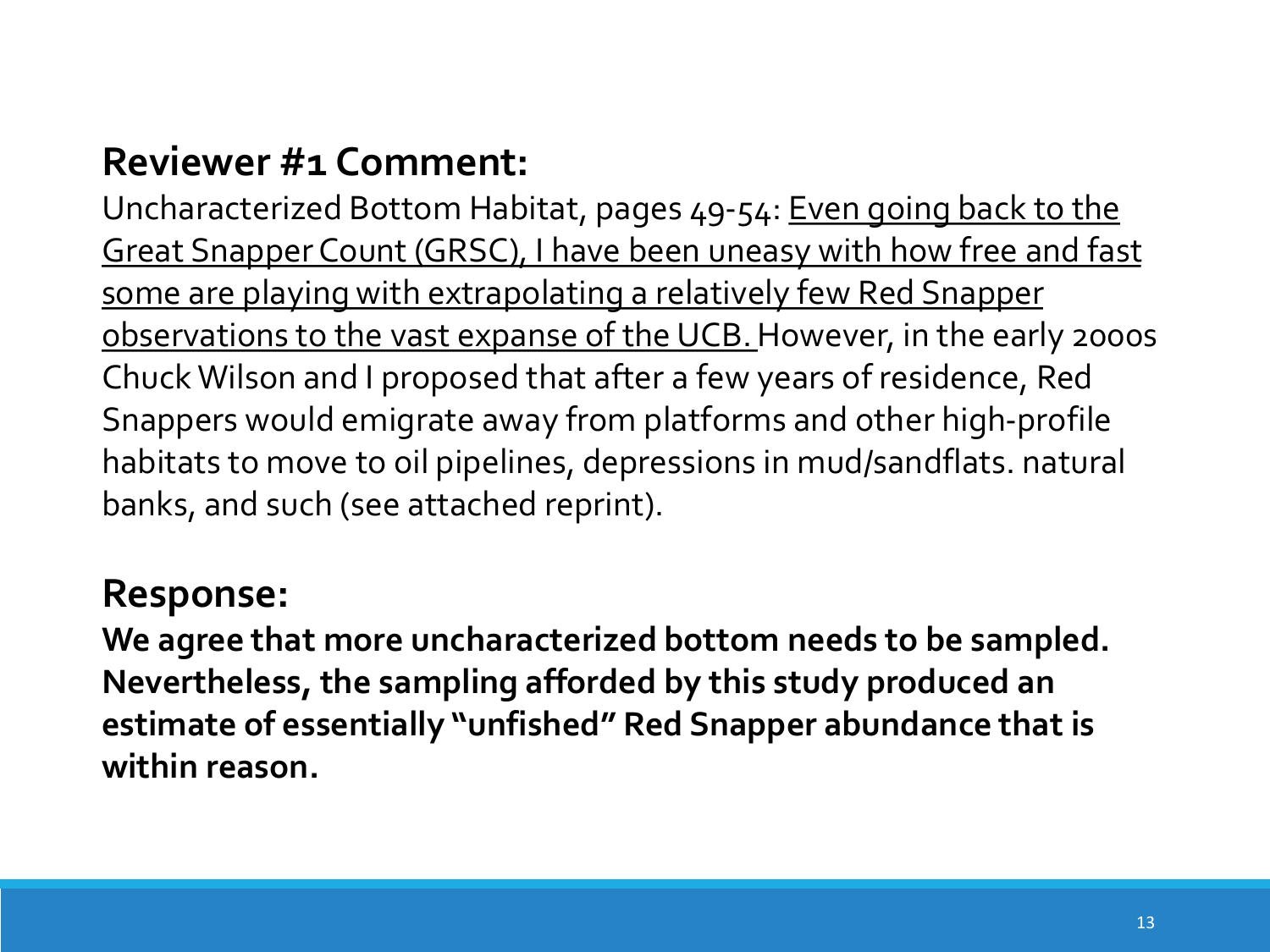Uncharacterized Bottom Habitat, pages 49-54: Even going back to the Great Snapper Count (GRSC), I have been uneasy with how free and fast some are playing with extrapolating a relatively few Red Snapper observations to the vast expanse of the UCB. However, in the early 2000s Chuck Wilson and I proposed that after a few years of residence, Red Snappers would emigrate away from platforms and other high-profile habitats to move to oil pipelines, depressions in mud/sandflats. natural banks, and such (see attached reprint).

#### **Response:**

**We agree that more uncharacterized bottom needs to be sampled. Nevertheless, the sampling afforded by this study produced an estimate of essentially "unfished" Red Snapper abundance that is within reason.**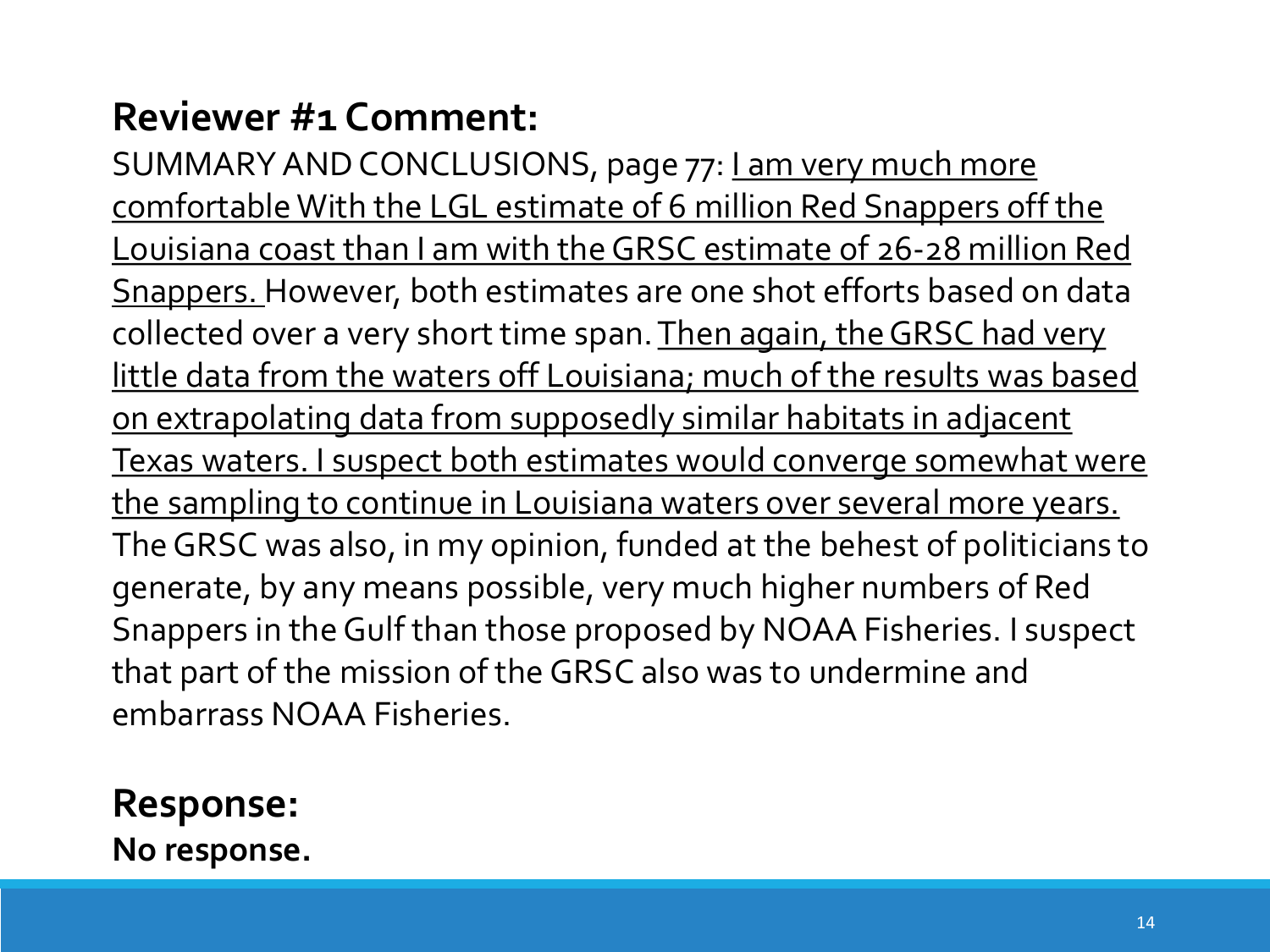SUMMARY AND CONCLUSIONS, page 77: Lam very much more comfortable With the LGL estimate of 6 million Red Snappers off the Louisiana coast than I am with the GRSC estimate of 26-28 million Red Snappers. However, both estimates are one shot efforts based on data collected over a very short time span. Then again, the GRSC had very little data from the waters off Louisiana; much of the results was based on extrapolating data from supposedly similar habitats in adjacent Texas waters. I suspect both estimates would converge somewhat were the sampling to continue in Louisiana waters over several more years. The GRSC was also, in my opinion, funded at the behest of politicians to generate, by any means possible, very much higher numbers of Red Snappers in the Gulf than those proposed by NOAA Fisheries. I suspect that part of the mission of the GRSC also was to undermine and embarrass NOAA Fisheries.

**Response: No response.**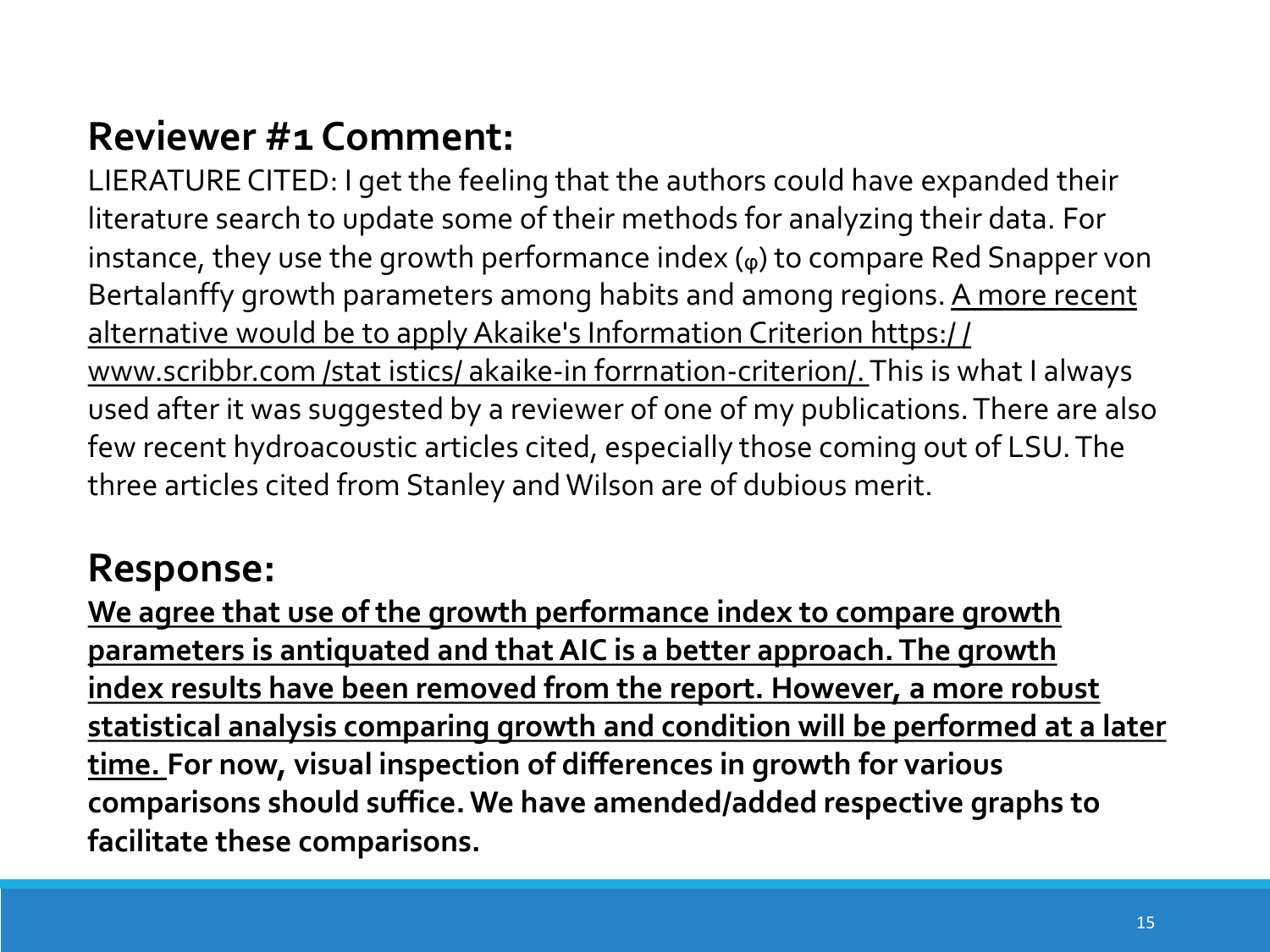LIERATURE CITED: I get the feeling that the authors could have expanded their literature search to update some of their methods for analyzing their data. For instance, they use the growth performance index  $(\varphi)$  to compare Red Snapper von Bertalanffy growth parameters among habits and among regions. A more recent alternative would be to apply Akaike's Information Criterion https:/ / www.scribbr.com /stat istics/ akaike-in forrnation-criterion/. This is what I always used after it was suggested by a reviewer of one of my publications. There are also few recent hydroacoustic articles cited, especially those coming out of LSU. The three articles cited from Stanley and Wilson are of dubious merit.

# **Response:**

**We agree that use of the growth performance index to compare growth parameters is antiquated and that AIC is a better approach. The growth index results have been removed from the report. However, a more robust statistical analysis comparing growth and condition will be performed at a later time. For now, visual inspection of differences in growth for various comparisons should suffice. We have amended/added respective graphs to facilitate these comparisons.**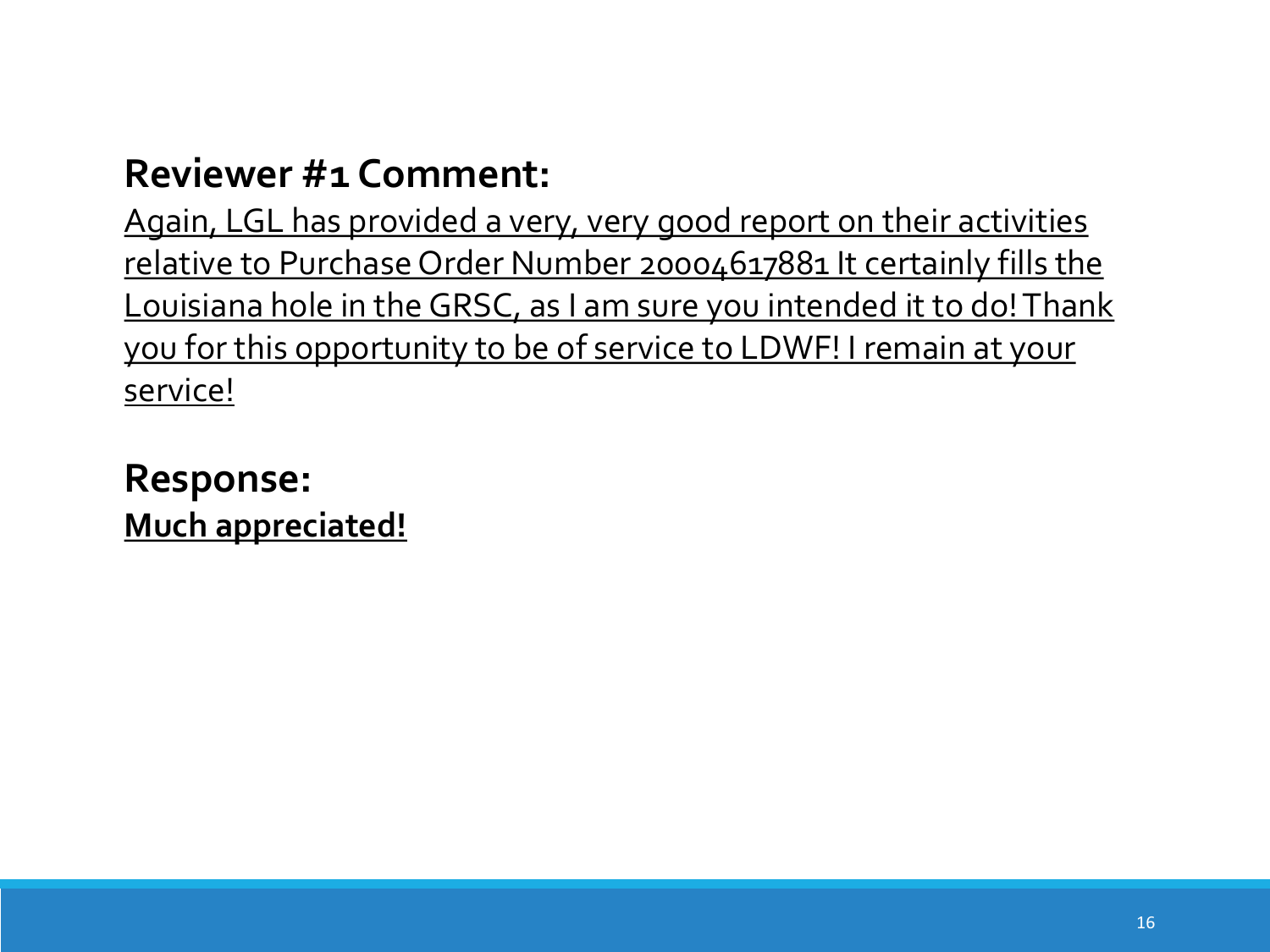Again, LGL has provided a very, very good report on their activities relative to Purchase Order Number 20004617881 It certainly fills the Louisiana hole in the GRSC, as I am sure you intended it to do! Thank you for this opportunity to be of service to LDWF! I remain at your service!

**Response: Much appreciated!**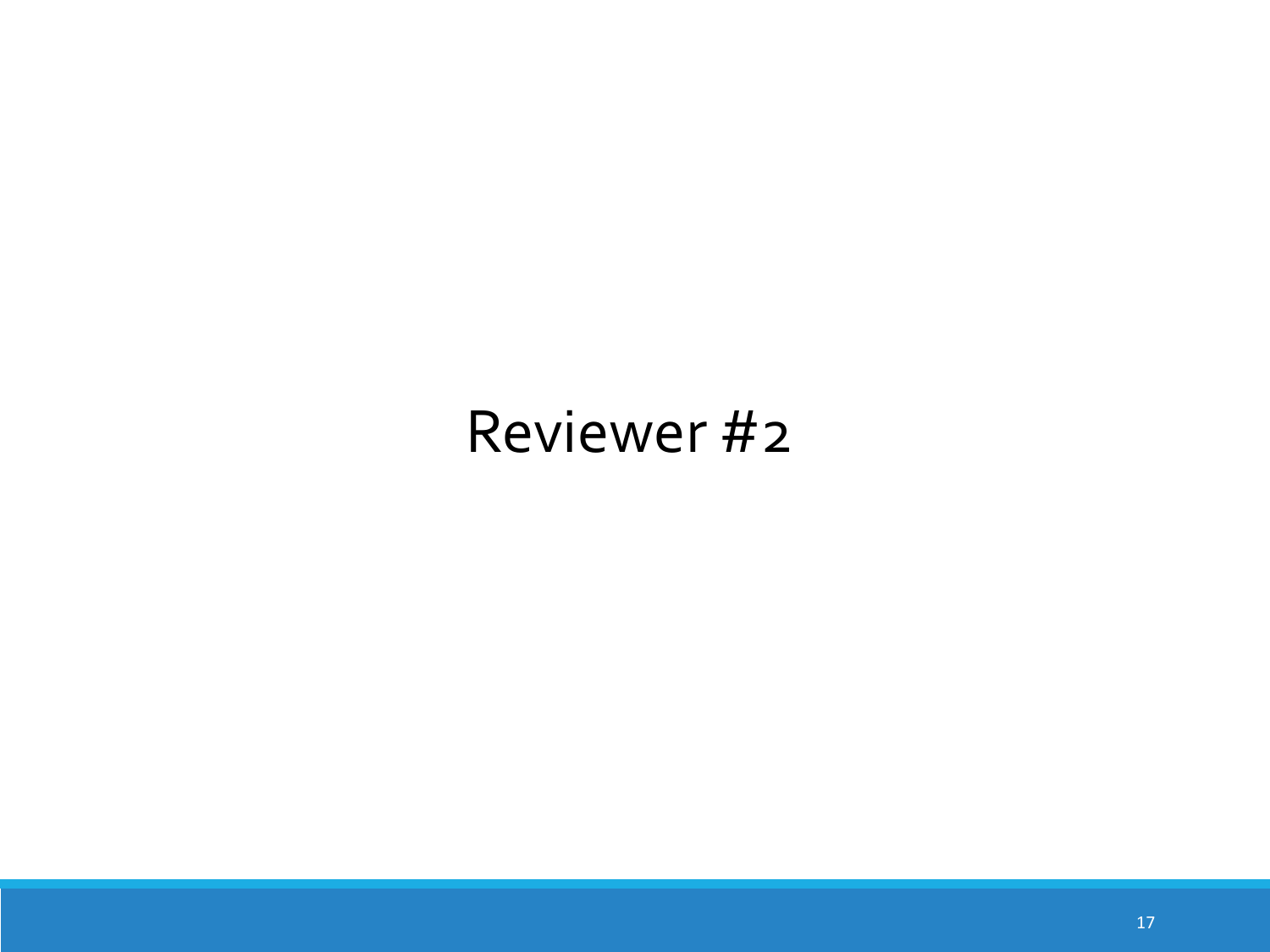# Reviewer #2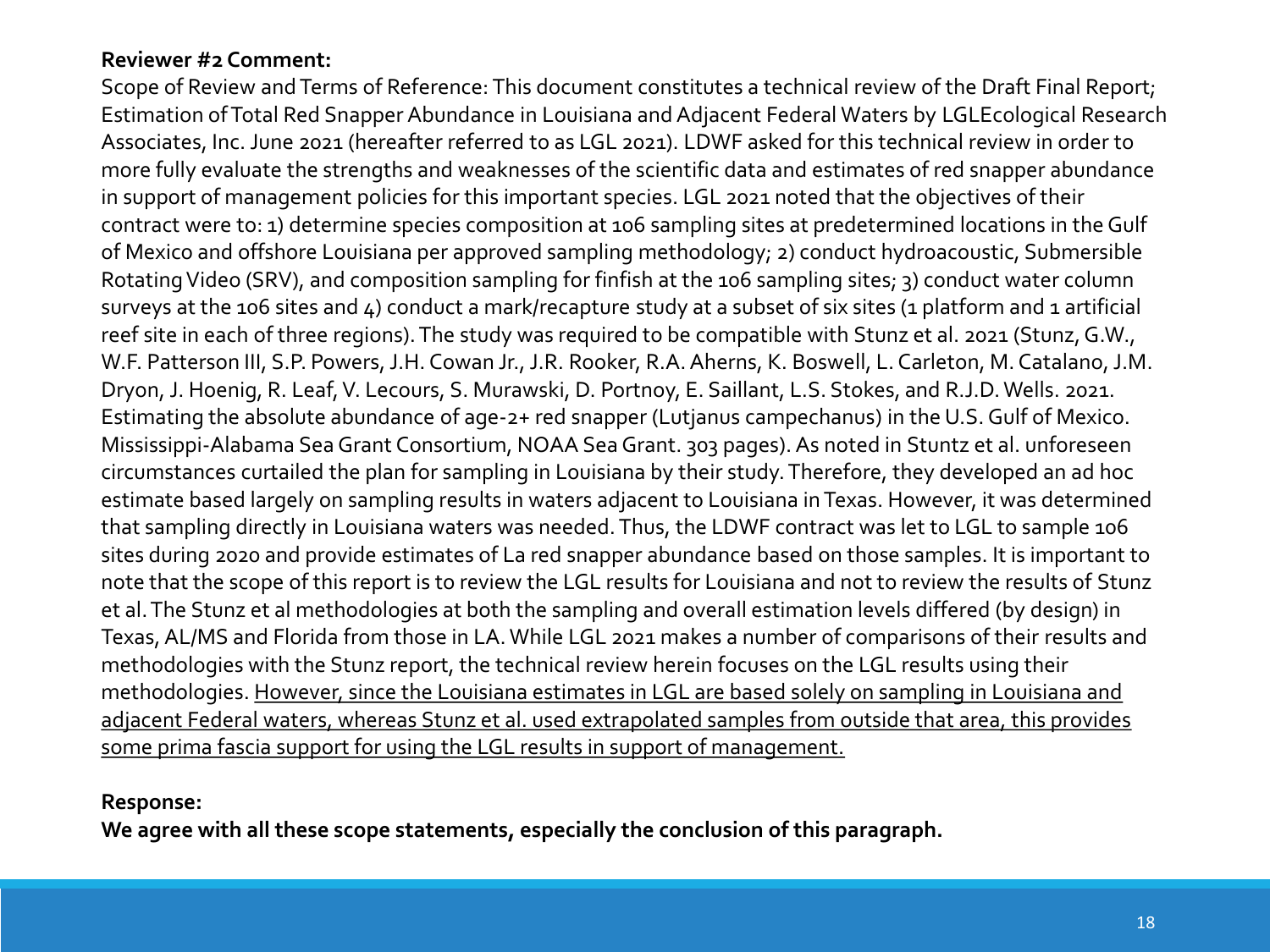Scope of Review and Terms of Reference: This document constitutes a technical review of the Draft Final Report; Estimation of Total Red Snapper Abundance in Louisiana and Adjacent Federal Waters by LGLEcological Research Associates, Inc. June 2021 (hereafter referred to as LGL 2021). LDWF asked for this technical review in order to more fully evaluate the strengths and weaknesses of the scientific data and estimates of red snapper abundance in support of management policies for this important species. LGL 2021 noted that the objectives of their contract were to: 1) determine species composition at 106 sampling sites at predetermined locations in the Gulf of Mexico and offshore Louisiana per approved sampling methodology; 2) conduct hydroacoustic, Submersible Rotating Video (SRV), and composition sampling for finfish at the 106 sampling sites; 3) conduct water column surveys at the 106 sites and 4) conduct a mark/recapture study at a subset of six sites (1 platform and 1 artificial reef site in each of three regions). The study was required to be compatible with Stunz et al. 2021 (Stunz, G.W., W.F. Patterson III, S.P. Powers, J.H. Cowan Jr., J.R. Rooker, R.A. Aherns, K. Boswell, L. Carleton, M. Catalano, J.M. Dryon, J. Hoenig, R. Leaf, V. Lecours, S. Murawski, D. Portnoy, E. Saillant, L.S. Stokes, and R.J.D. Wells. 2021. Estimating the absolute abundance of age-2+ red snapper (Lutjanus campechanus) in the U.S. Gulf of Mexico. Mississippi-Alabama Sea Grant Consortium, NOAA Sea Grant. 303 pages). As noted in Stuntz et al. unforeseen circumstances curtailed the plan for sampling in Louisiana by their study. Therefore, they developed an ad hoc estimate based largely on sampling results in waters adjacent to Louisiana in Texas. However, it was determined that sampling directly in Louisiana waters was needed. Thus, the LDWF contract was let to LGL to sample 106 sites during 2020 and provide estimates of La red snapper abundance based on those samples. It is important to note that the scope of this report is to review the LGL results for Louisiana and not to review the results of Stunz et al. The Stunz et al methodologies at both the sampling and overall estimation levels differed (by design) in Texas, AL/MS and Florida from those in LA. While LGL 2021 makes a number of comparisons of their results and methodologies with the Stunz report, the technical review herein focuses on the LGL results using their methodologies. However, since the Louisiana estimates in LGL are based solely on sampling in Louisiana and adjacent Federal waters, whereas Stunz et al. used extrapolated samples from outside that area, this provides some prima fascia support for using the LGL results in support of management.

**Response:** 

**We agree with all these scope statements, especially the conclusion of this paragraph.**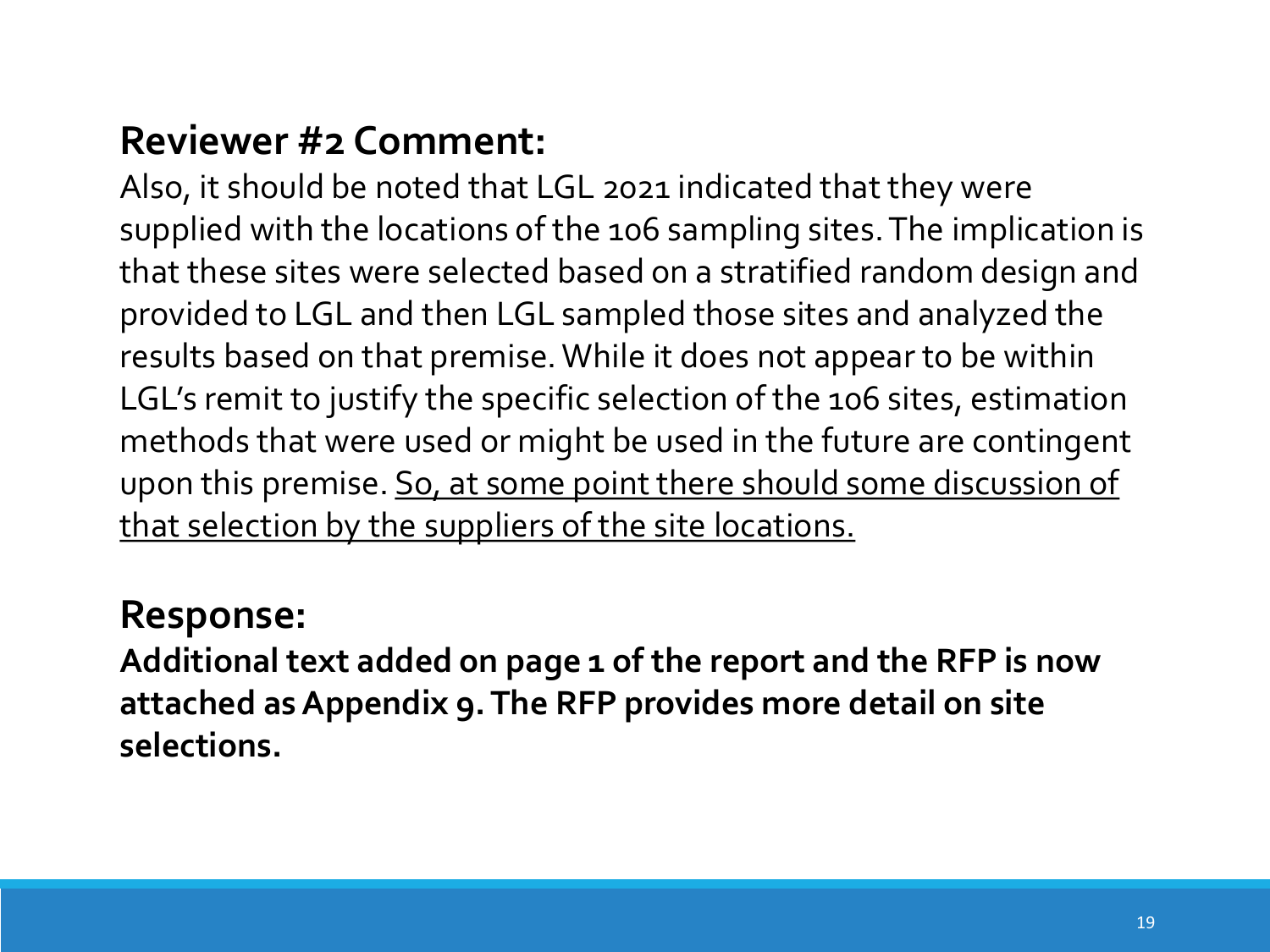Also, it should be noted that LGL 2021 indicated that they were supplied with the locations of the 106 sampling sites. The implication is that these sites were selected based on a stratified random design and provided to LGL and then LGL sampled those sites and analyzed the results based on that premise. While it does not appear to be within LGL's remit to justify the specific selection of the 106 sites, estimation methods that were used or might be used in the future are contingent upon this premise. So, at some point there should some discussion of that selection by the suppliers of the site locations.

#### **Response:**

**Additional text added on page 1 of the report and the RFP is now attached as Appendix 9. The RFP provides more detail on site selections.**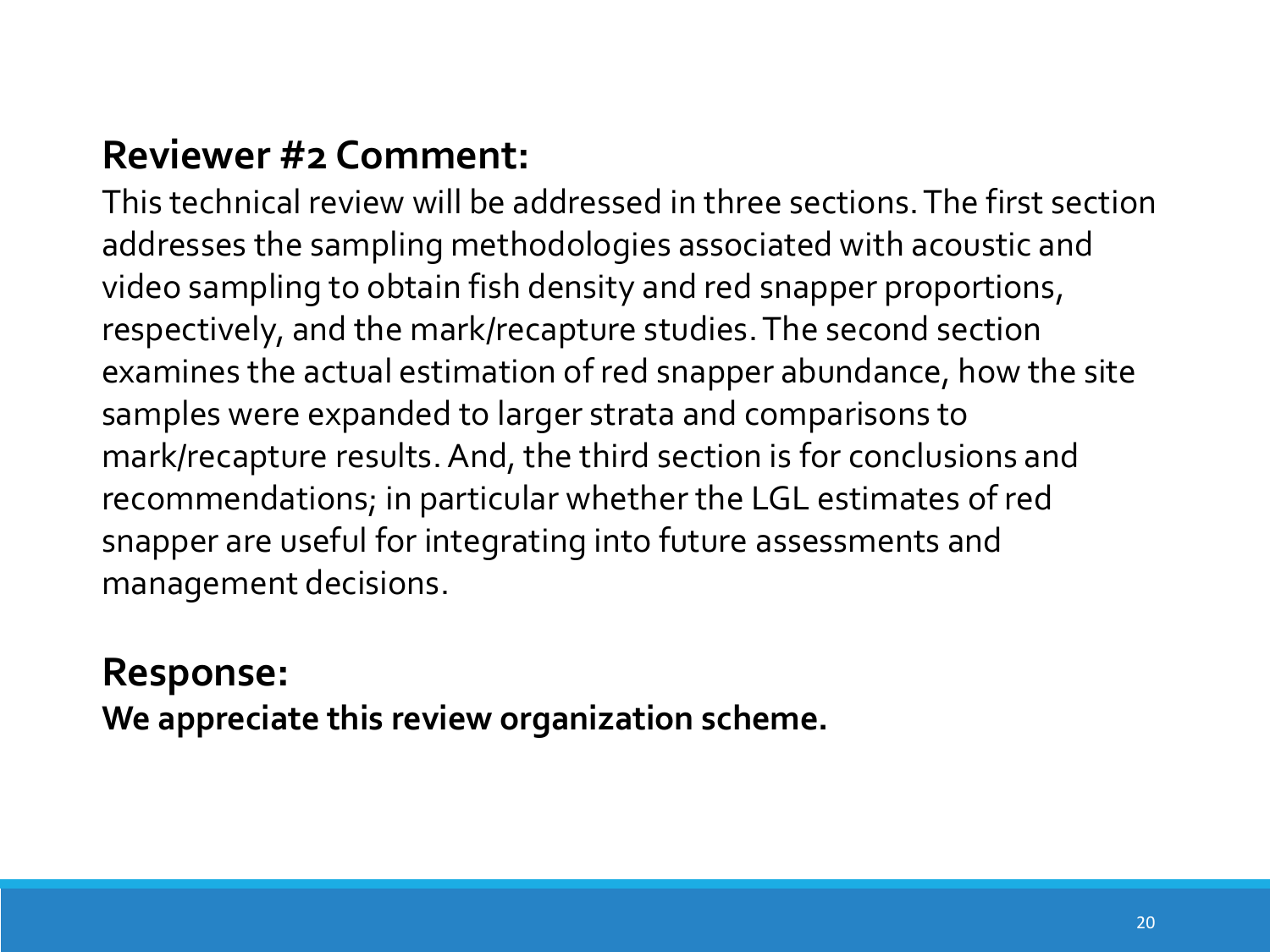This technical review will be addressed in three sections. The first section addresses the sampling methodologies associated with acoustic and video sampling to obtain fish density and red snapper proportions, respectively, and the mark/recapture studies. The second section examines the actual estimation of red snapper abundance, how the site samples were expanded to larger strata and comparisons to mark/recapture results. And, the third section is for conclusions and recommendations; in particular whether the LGL estimates of red snapper are useful for integrating into future assessments and management decisions.

#### **Response:**

**We appreciate this review organization scheme.**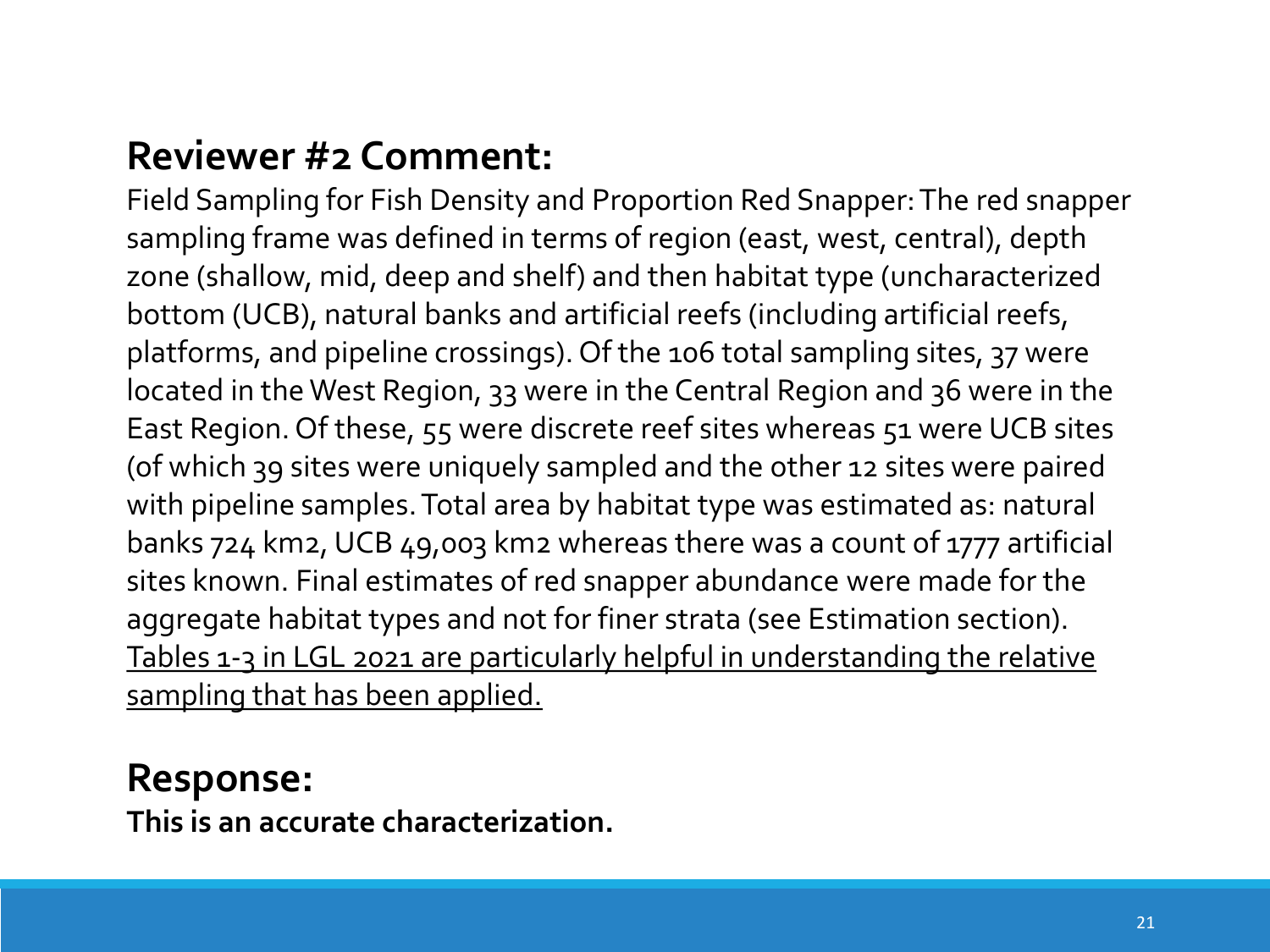Field Sampling for Fish Density and Proportion Red Snapper: The red snapper sampling frame was defined in terms of region (east, west, central), depth zone (shallow, mid, deep and shelf) and then habitat type (uncharacterized bottom (UCB), natural banks and artificial reefs (including artificial reefs, platforms, and pipeline crossings). Of the 106 total sampling sites, 37 were located in the West Region, 33 were in the Central Region and 36 were in the East Region. Of these, 55 were discrete reef sites whereas 51 were UCB sites (of which 39 sites were uniquely sampled and the other 12 sites were paired with pipeline samples. Total area by habitat type was estimated as: natural banks 724 km2, UCB 49,003 km2 whereas there was a count of 1777 artificial sites known. Final estimates of red snapper abundance were made for the aggregate habitat types and not for finer strata (see Estimation section). Tables 1-3 in LGL 2021 are particularly helpful in understanding the relative sampling that has been applied.

#### **Response:**

**This is an accurate characterization.**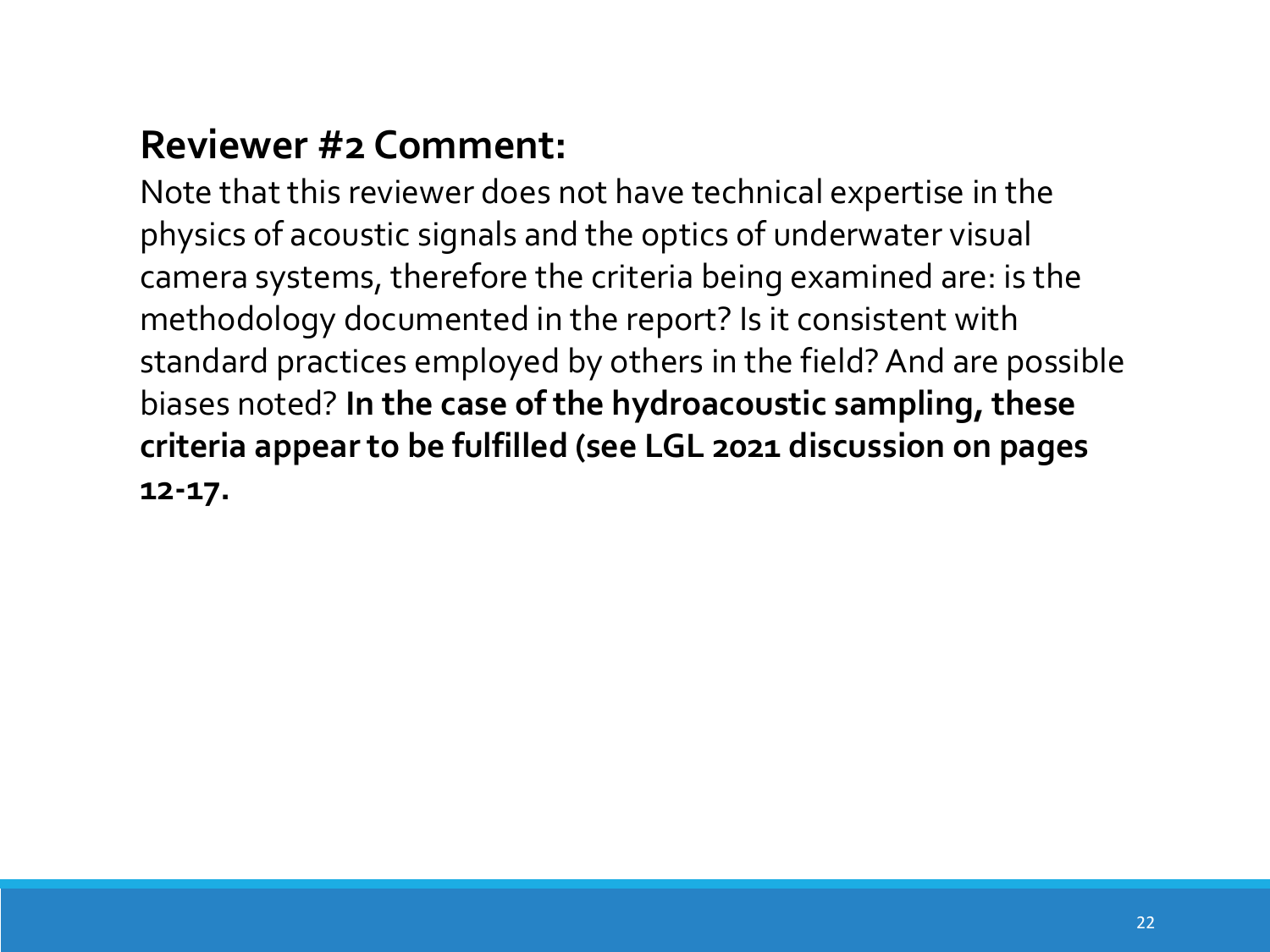Note that this reviewer does not have technical expertise in the physics of acoustic signals and the optics of underwater visual camera systems, therefore the criteria being examined are: is the methodology documented in the report? Is it consistent with standard practices employed by others in the field? And are possible biases noted? **In the case of the hydroacoustic sampling, these criteria appear to be fulfilled (see LGL 2021 discussion on pages 12-17.**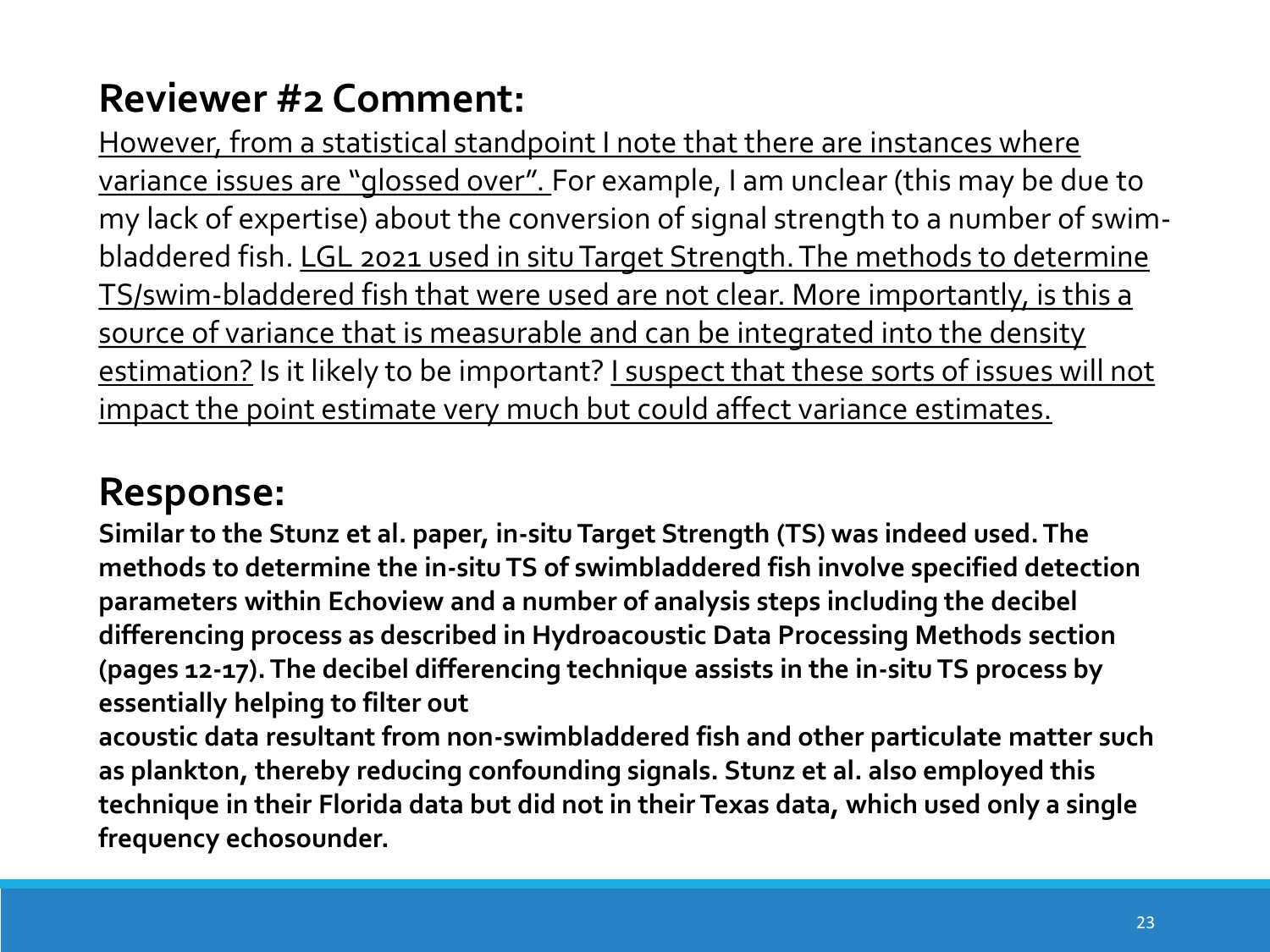However, from a statistical standpoint I note that there are instances where variance issues are "glossed over". For example, I am unclear (this may be due to my lack of expertise) about the conversion of signal strength to a number of swimbladdered fish. LGL 2021 used in situ Target Strength. The methods to determine TS/swim-bladdered fish that were used are not clear. More importantly, is this a source of variance that is measurable and can be integrated into the density estimation? Is it likely to be important? I suspect that these sorts of issues will not impact the point estimate very much but could affect variance estimates.

# **Response:**

**Similar to the Stunz et al. paper, in-situ Target Strength (TS) was indeed used. The methods to determine the in-situ TS of swimbladdered fish involve specified detection parameters within Echoview and a number of analysis steps including the decibel differencing process as described in Hydroacoustic Data Processing Methods section (pages 12-17). The decibel differencing technique assists in the in-situ TS process by essentially helping to filter out**

**acoustic data resultant from non-swimbladdered fish and other particulate matter such as plankton, thereby reducing confounding signals. Stunz et al. also employed this technique in their Florida data but did not in their Texas data, which used only a single frequency echosounder.**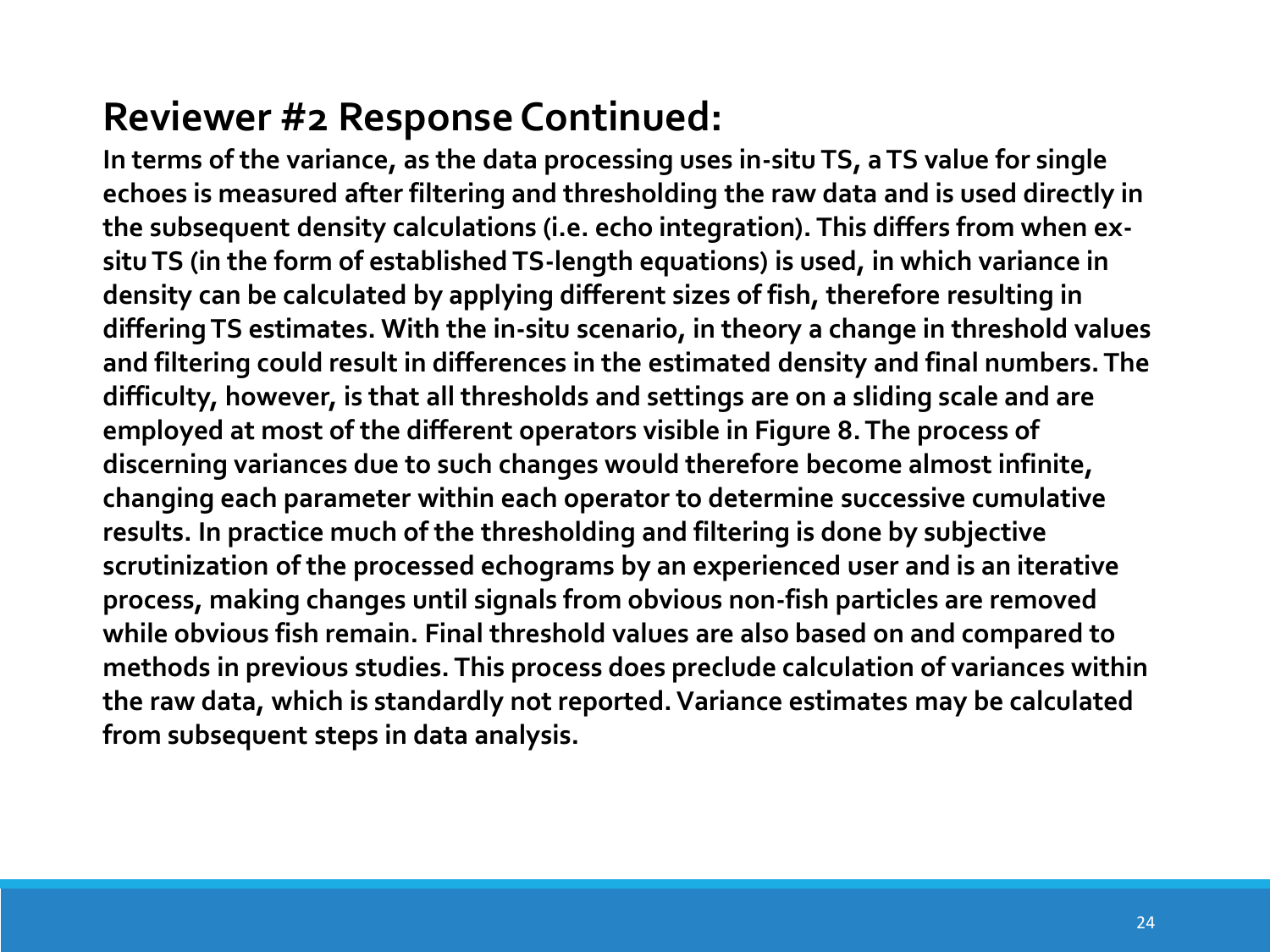# **Reviewer #2 Response Continued:**

**In terms of the variance, as the data processing uses in-situ TS, a TS value for single echoes is measured after filtering and thresholding the raw data and is used directly in the subsequent density calculations (i.e. echo integration). This differs from when exsitu TS (in the form of established TS-length equations) is used, in which variance in density can be calculated by applying different sizes of fish, therefore resulting in differing TS estimates. With the in-situ scenario, in theory a change in threshold values and filtering could result in differences in the estimated density and final numbers. The difficulty, however, is that all thresholds and settings are on a sliding scale and are employed at most of the different operators visible in Figure 8. The process of discerning variances due to such changes would therefore become almost infinite, changing each parameter within each operator to determine successive cumulative results. In practice much of the thresholding and filtering is done by subjective scrutinization of the processed echograms by an experienced user and is an iterative process, making changes until signals from obvious non-fish particles are removed while obvious fish remain. Final threshold values are also based on and compared to methods in previous studies. This process does preclude calculation of variances within the raw data, which is standardly not reported. Variance estimates may be calculated from subsequent steps in data analysis.**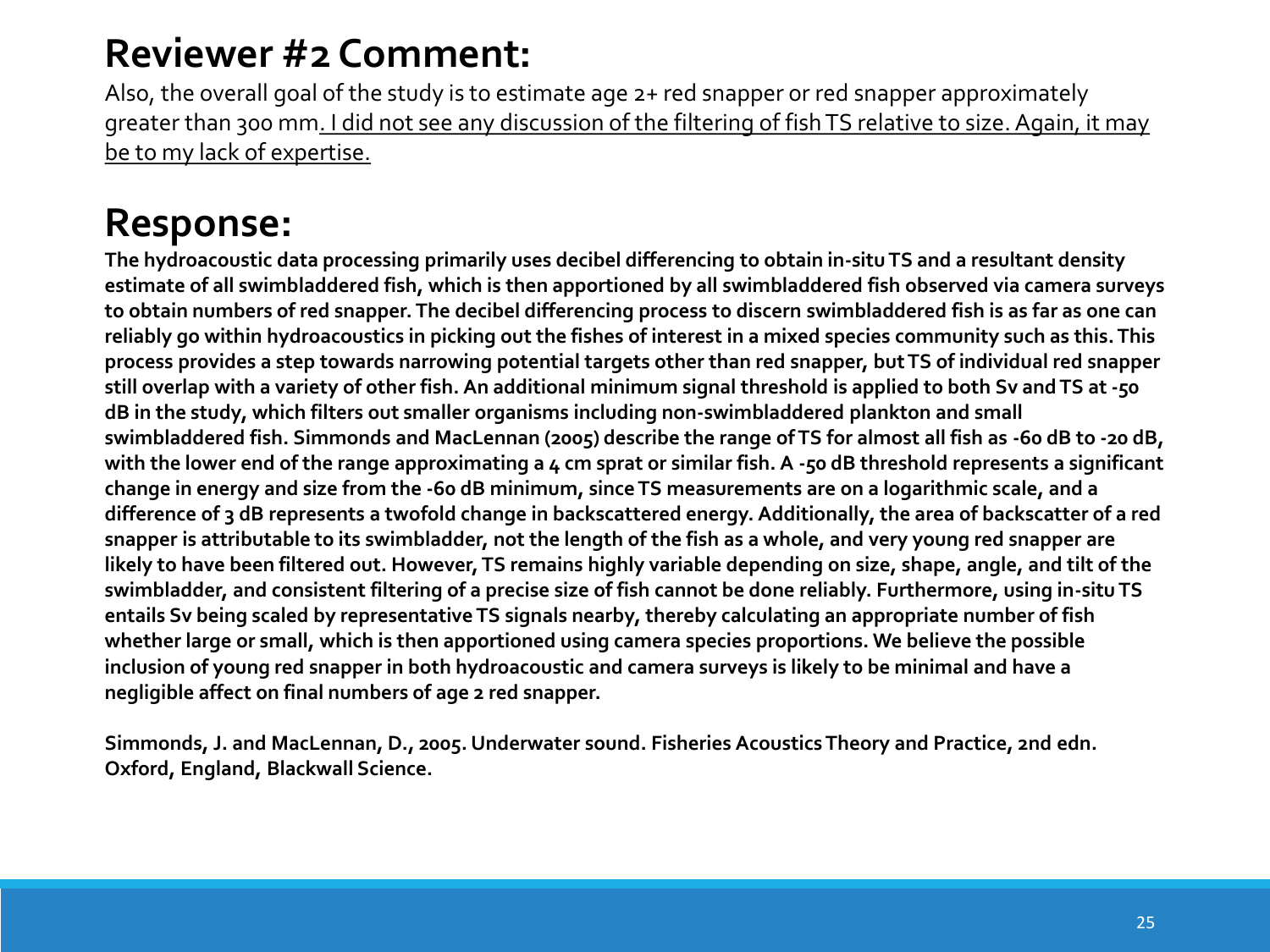Also, the overall goal of the study is to estimate age 2+ red snapper or red snapper approximately greater than 300 mm. I did not see any discussion of the filtering of fish TS relative to size. Again, it may be to my lack of expertise.

# **Response:**

**The hydroacoustic data processing primarily uses decibel differencing to obtain in-situ TS and a resultant density estimate of all swimbladdered fish, which is then apportioned by all swimbladdered fish observed via camera surveys to obtain numbers of red snapper. The decibel differencing process to discern swimbladdered fish is as far as one can reliably go within hydroacoustics in picking out the fishes of interest in a mixed species community such as this. This process provides a step towards narrowing potential targets other than red snapper, but TS of individual red snapper still overlap with a variety of other fish. An additional minimum signal threshold is applied to both Sv and TS at -50 dB in the study, which filters out smaller organisms including non-swimbladdered plankton and small swimbladdered fish. Simmonds and MacLennan (2005) describe the range of TS for almost all fish as -60 dB to -20 dB,**  with the lower end of the range approximating a 4 cm sprat or similar fish. A -50 dB threshold represents a significant **change in energy and size from the -60 dB minimum, since TS measurements are on a logarithmic scale, and a difference of 3 dB represents a twofold change in backscattered energy. Additionally, the area of backscatter of a red snapper is attributable to its swimbladder, not the length of the fish as a whole, and very young red snapper are likely to have been filtered out. However, TS remains highly variable depending on size, shape, angle, and tilt of the swimbladder, and consistent filtering of a precise size of fish cannot be done reliably. Furthermore, using in-situ TS entails Sv being scaled by representative TS signals nearby, thereby calculating an appropriate number of fish whether large or small, which is then apportioned using camera species proportions. We believe the possible inclusion of young red snapper in both hydroacoustic and camera surveys is likely to be minimal and have a negligible affect on final numbers of age 2 red snapper.**

**Simmonds, J. and MacLennan, D., 2005. Underwater sound. Fisheries Acoustics Theory and Practice, 2nd edn. Oxford, England, Blackwall Science.**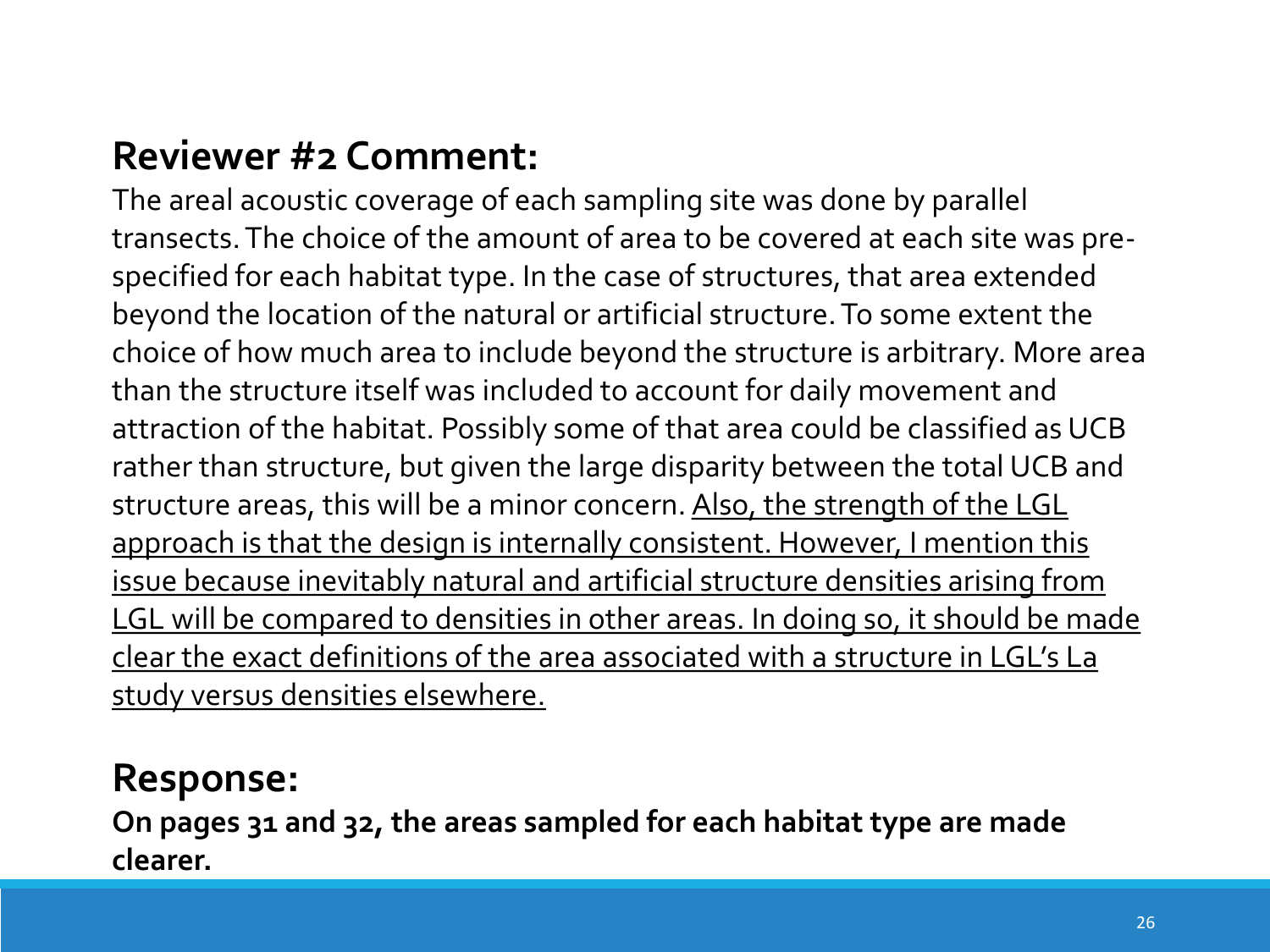The areal acoustic coverage of each sampling site was done by parallel transects. The choice of the amount of area to be covered at each site was prespecified for each habitat type. In the case of structures, that area extended beyond the location of the natural or artificial structure. To some extent the choice of how much area to include beyond the structure is arbitrary. More area than the structure itself was included to account for daily movement and attraction of the habitat. Possibly some of that area could be classified as UCB rather than structure, but given the large disparity between the total UCB and structure areas, this will be a minor concern. Also, the strength of the LGL approach is that the design is internally consistent. However, I mention this issue because inevitably natural and artificial structure densities arising from LGL will be compared to densities in other areas. In doing so, it should be made clear the exact definitions of the area associated with a structure in LGL's La study versus densities elsewhere.

#### **Response:**

**On pages 31 and 32, the areas sampled for each habitat type are made clearer.**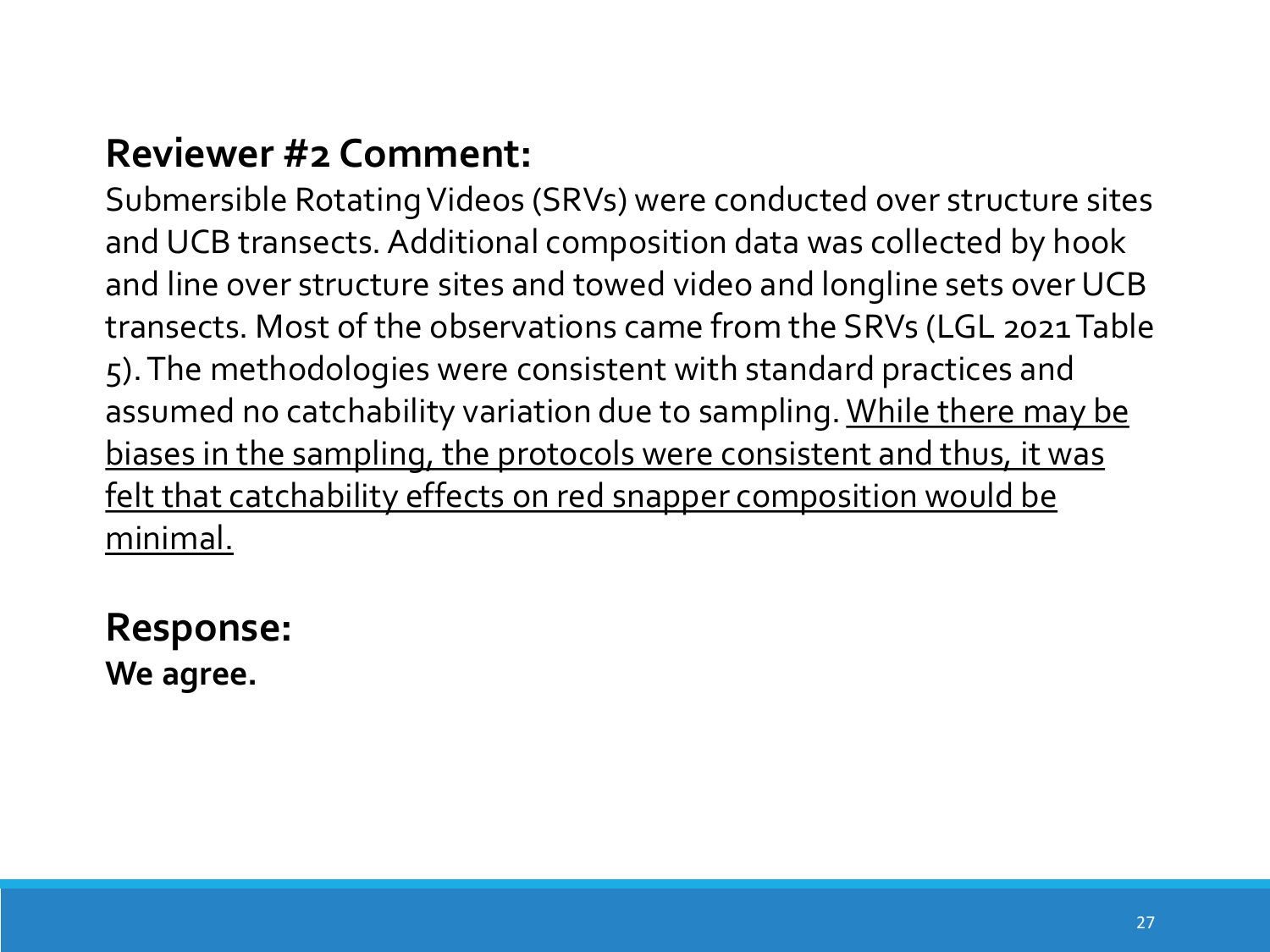Submersible Rotating Videos (SRVs) were conducted over structure sites and UCB transects. Additional composition data was collected by hook and line over structure sites and towed video and longline sets over UCB transects. Most of the observations came from the SRVs (LGL 2021 Table 5). The methodologies were consistent with standard practices and assumed no catchability variation due to sampling. While there may be biases in the sampling, the protocols were consistent and thus, it was felt that catchability effects on red snapper composition would be minimal.

#### **Response: We agree.**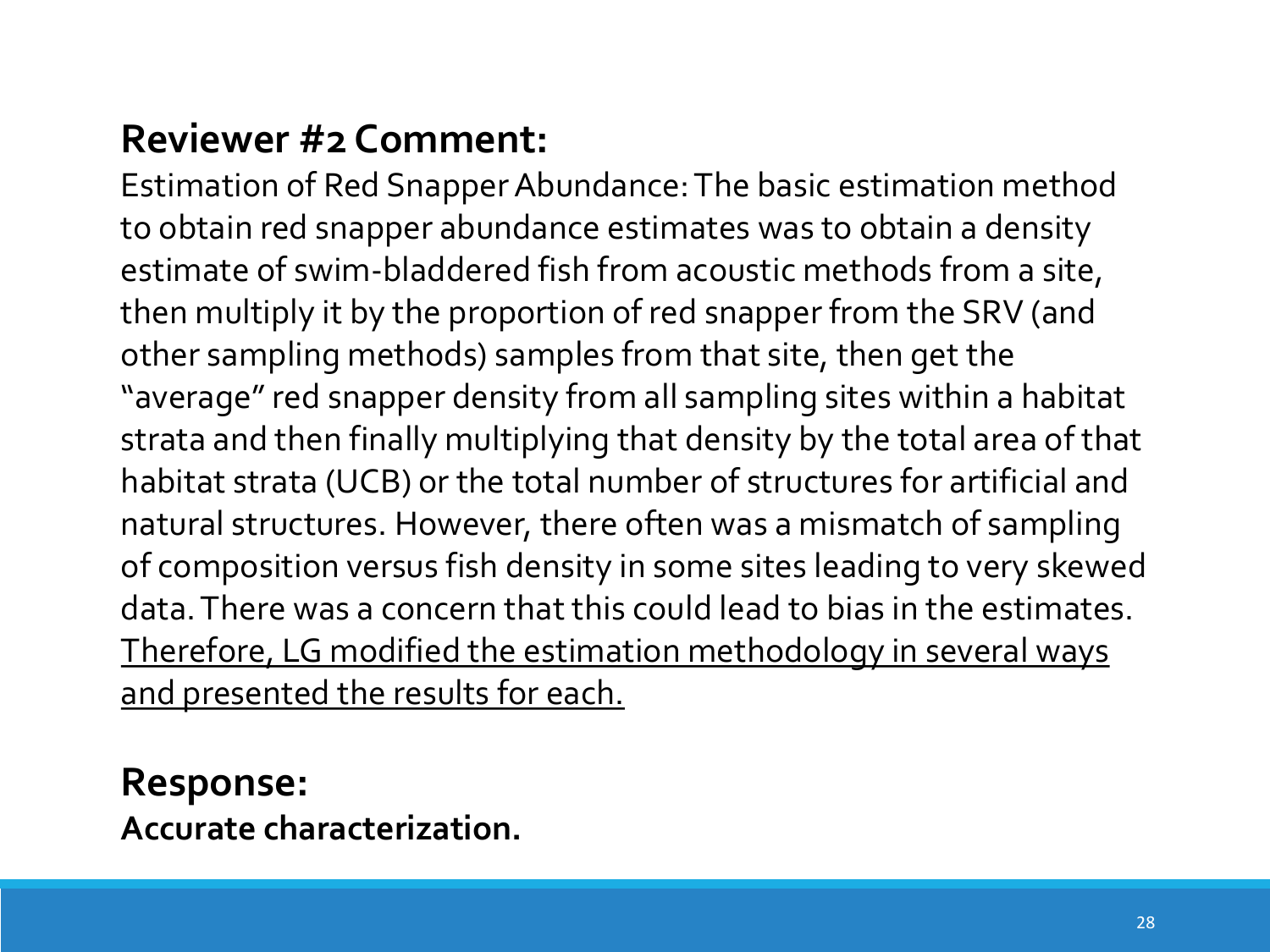Estimation of Red Snapper Abundance: The basic estimation method to obtain red snapper abundance estimates was to obtain a density estimate of swim-bladdered fish from acoustic methods from a site, then multiply it by the proportion of red snapper from the SRV (and other sampling methods) samples from that site, then get the "average" red snapper density from all sampling sites within a habitat strata and then finally multiplying that density by the total area of that habitat strata (UCB) or the total number of structures for artificial and natural structures. However, there often was a mismatch of sampling of composition versus fish density in some sites leading to very skewed data. There was a concern that this could lead to bias in the estimates. Therefore, LG modified the estimation methodology in several ways and presented the results for each.

**Response: Accurate characterization.**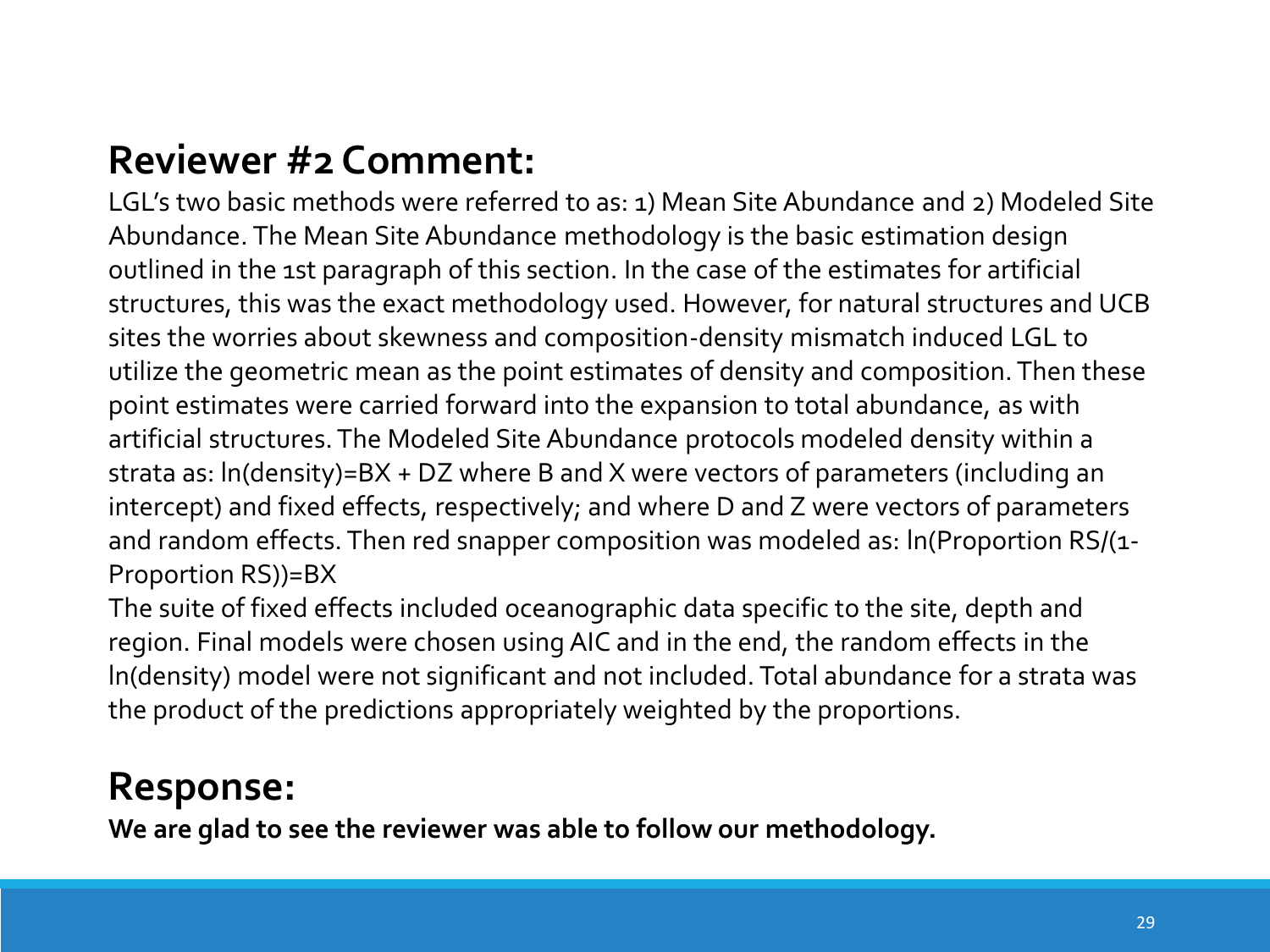LGL's two basic methods were referred to as: 1) Mean Site Abundance and 2) Modeled Site Abundance. The Mean Site Abundance methodology is the basic estimation design outlined in the 1st paragraph of this section. In the case of the estimates for artificial structures, this was the exact methodology used. However, for natural structures and UCB sites the worries about skewness and composition-density mismatch induced LGL to utilize the geometric mean as the point estimates of density and composition. Then these point estimates were carried forward into the expansion to total abundance, as with artificial structures. The Modeled Site Abundance protocols modeled density within a strata as: ln(density)=BX + DZ where B and X were vectors of parameters (including an intercept) and fixed effects, respectively; and where D and Z were vectors of parameters and random effects. Then red snapper composition was modeled as: ln(Proportion RS/(1- Proportion RS))=BX

The suite of fixed effects included oceanographic data specific to the site, depth and region. Final models were chosen using AIC and in the end, the random effects in the ln(density) model were not significant and not included. Total abundance for a strata was the product of the predictions appropriately weighted by the proportions.

#### **Response:**

**We are glad to see the reviewer was able to follow our methodology.**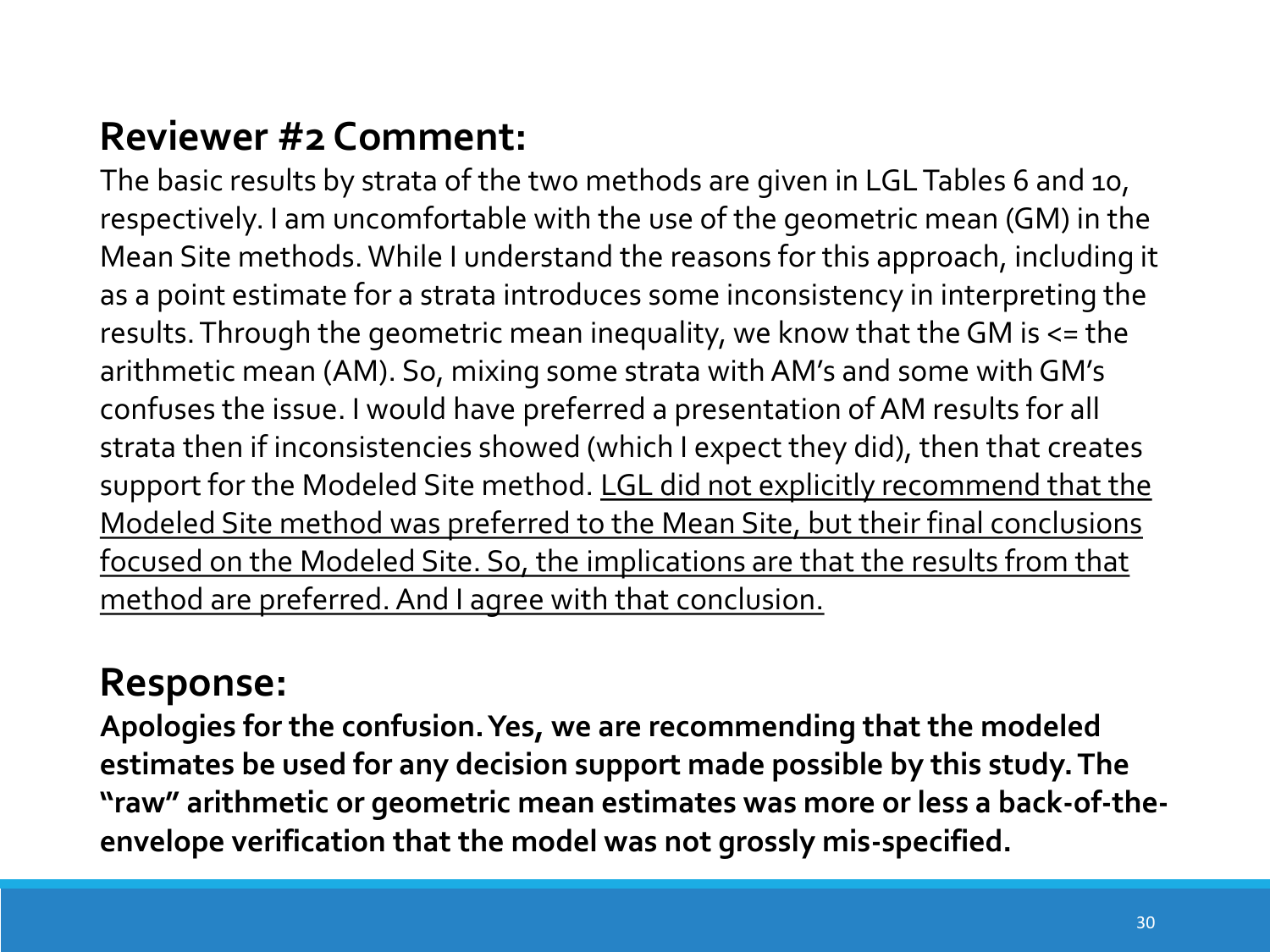The basic results by strata of the two methods are given in LGL Tables 6 and 10, respectively. I am uncomfortable with the use of the geometric mean (GM) in the Mean Site methods. While I understand the reasons for this approach, including it as a point estimate for a strata introduces some inconsistency in interpreting the results. Through the geometric mean inequality, we know that the GM is <= the arithmetic mean (AM). So, mixing some strata with AM's and some with GM's confuses the issue. I would have preferred a presentation of AM results for all strata then if inconsistencies showed (which I expect they did), then that creates support for the Modeled Site method. LGL did not explicitly recommend that the Modeled Site method was preferred to the Mean Site, but their final conclusions focused on the Modeled Site. So, the implications are that the results from that method are preferred. And I agree with that conclusion.

#### **Response:**

**Apologies for the confusion. Yes, we are recommending that the modeled estimates be used for any decision support made possible by this study. The "raw" arithmetic or geometric mean estimates was more or less a back-of-theenvelope verification that the model was not grossly mis-specified.**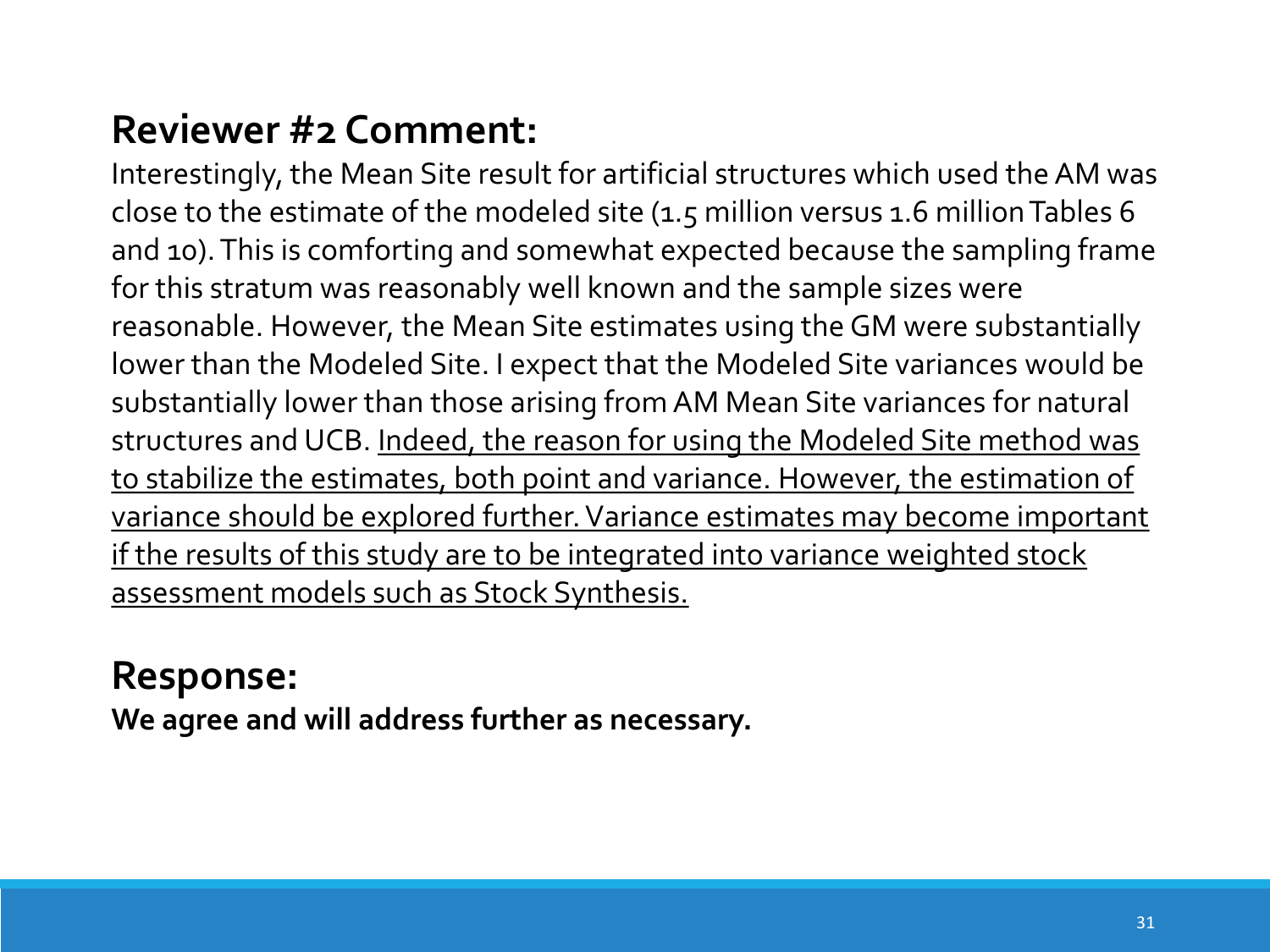Interestingly, the Mean Site result for artificial structures which used the AM was close to the estimate of the modeled site (1.5 million versus 1.6 million Tables 6 and 10). This is comforting and somewhat expected because the sampling frame for this stratum was reasonably well known and the sample sizes were reasonable. However, the Mean Site estimates using the GM were substantially lower than the Modeled Site. I expect that the Modeled Site variances would be substantially lower than those arising from AM Mean Site variances for natural structures and UCB. Indeed, the reason for using the Modeled Site method was to stabilize the estimates, both point and variance. However, the estimation of variance should be explored further. Variance estimates may become important if the results of this study are to be integrated into variance weighted stock assessment models such as Stock Synthesis.

#### **Response:**

**We agree and will address further as necessary.**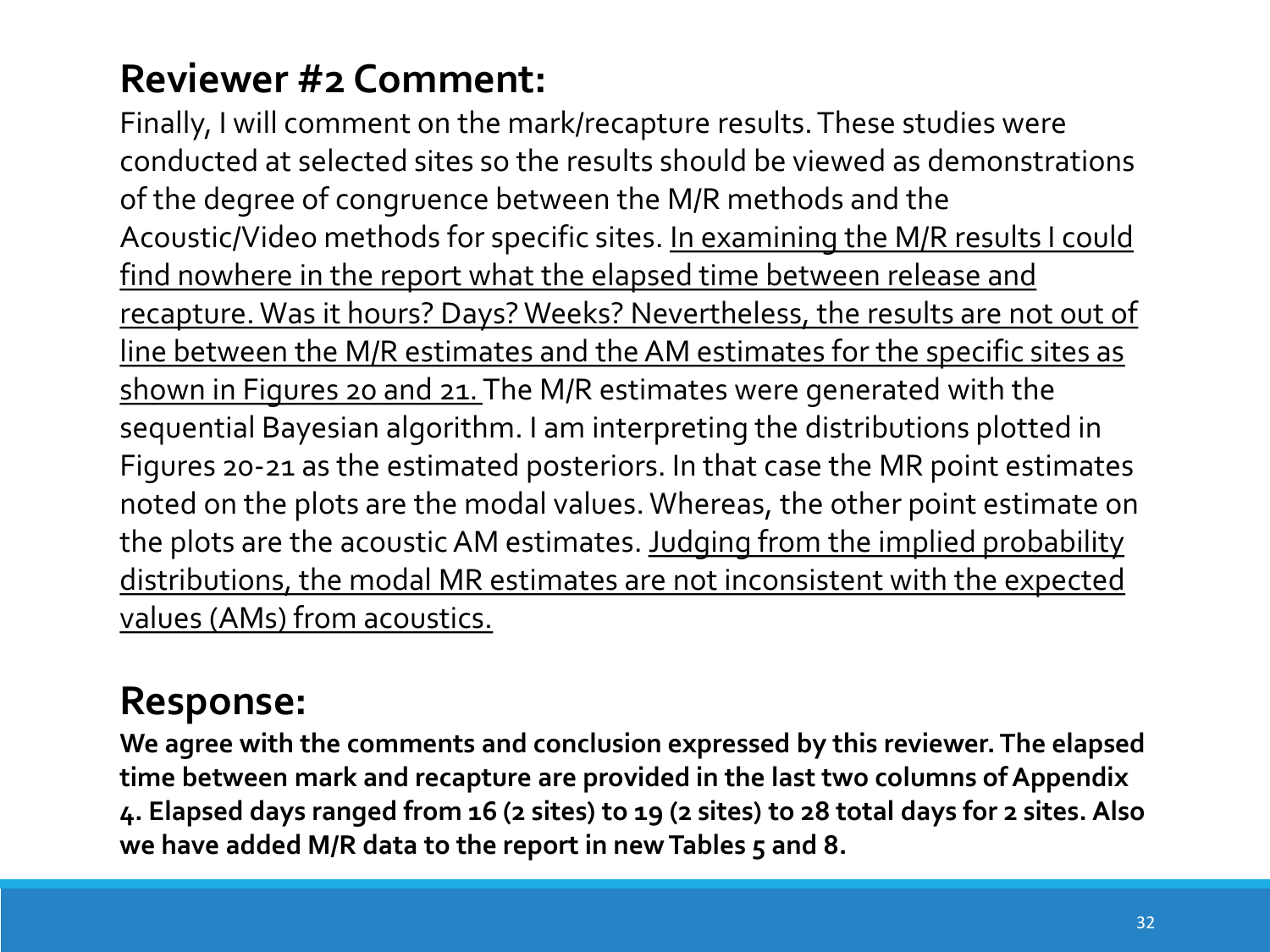Finally, I will comment on the mark/recapture results. These studies were conducted at selected sites so the results should be viewed as demonstrations of the degree of congruence between the M/R methods and the Acoustic/Video methods for specific sites. In examining the M/R results I could find nowhere in the report what the elapsed time between release and recapture. Was it hours? Days? Weeks? Nevertheless, the results are not out of line between the M/R estimates and the AM estimates for the specific sites as shown in Figures 20 and 21. The M/R estimates were generated with the sequential Bayesian algorithm. I am interpreting the distributions plotted in Figures 20-21 as the estimated posteriors. In that case the MR point estimates noted on the plots are the modal values. Whereas, the other point estimate on the plots are the acoustic AM estimates. Judging from the implied probability distributions, the modal MR estimates are not inconsistent with the expected values (AMs) from acoustics.

## **Response:**

**We agree with the comments and conclusion expressed by this reviewer. The elapsed time between mark and recapture are provided in the last two columns of Appendix 4. Elapsed days ranged from 16 (2 sites) to 19 (2 sites) to 28 total days for 2 sites. Also we have added M/R data to the report in new Tables 5 and 8.**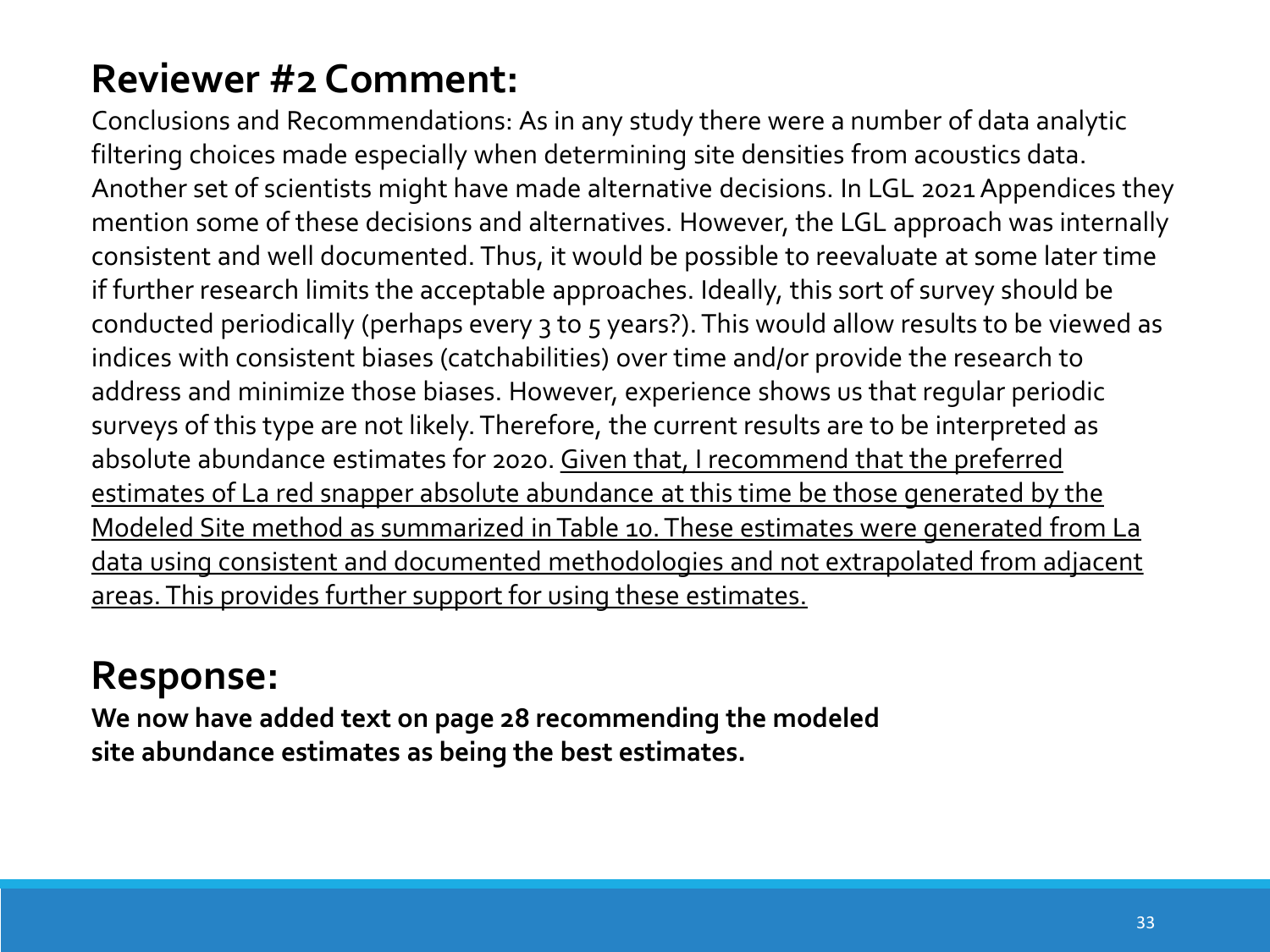Conclusions and Recommendations: As in any study there were a number of data analytic filtering choices made especially when determining site densities from acoustics data. Another set of scientists might have made alternative decisions. In LGL 2021 Appendices they mention some of these decisions and alternatives. However, the LGL approach was internally consistent and well documented. Thus, it would be possible to reevaluate at some later time if further research limits the acceptable approaches. Ideally, this sort of survey should be conducted periodically (perhaps every 3 to 5 years?). This would allow results to be viewed as indices with consistent biases (catchabilities) over time and/or provide the research to address and minimize those biases. However, experience shows us that regular periodic surveys of this type are not likely. Therefore, the current results are to be interpreted as absolute abundance estimates for 2020. Given that, I recommend that the preferred estimates of La red snapper absolute abundance at this time be those generated by the Modeled Site method as summarized in Table 10. These estimates were generated from La data using consistent and documented methodologies and not extrapolated from adjacent areas. This provides further support for using these estimates.

# **Response:**

**We now have added text on page 28 recommending the modeled site abundance estimates as being the best estimates.**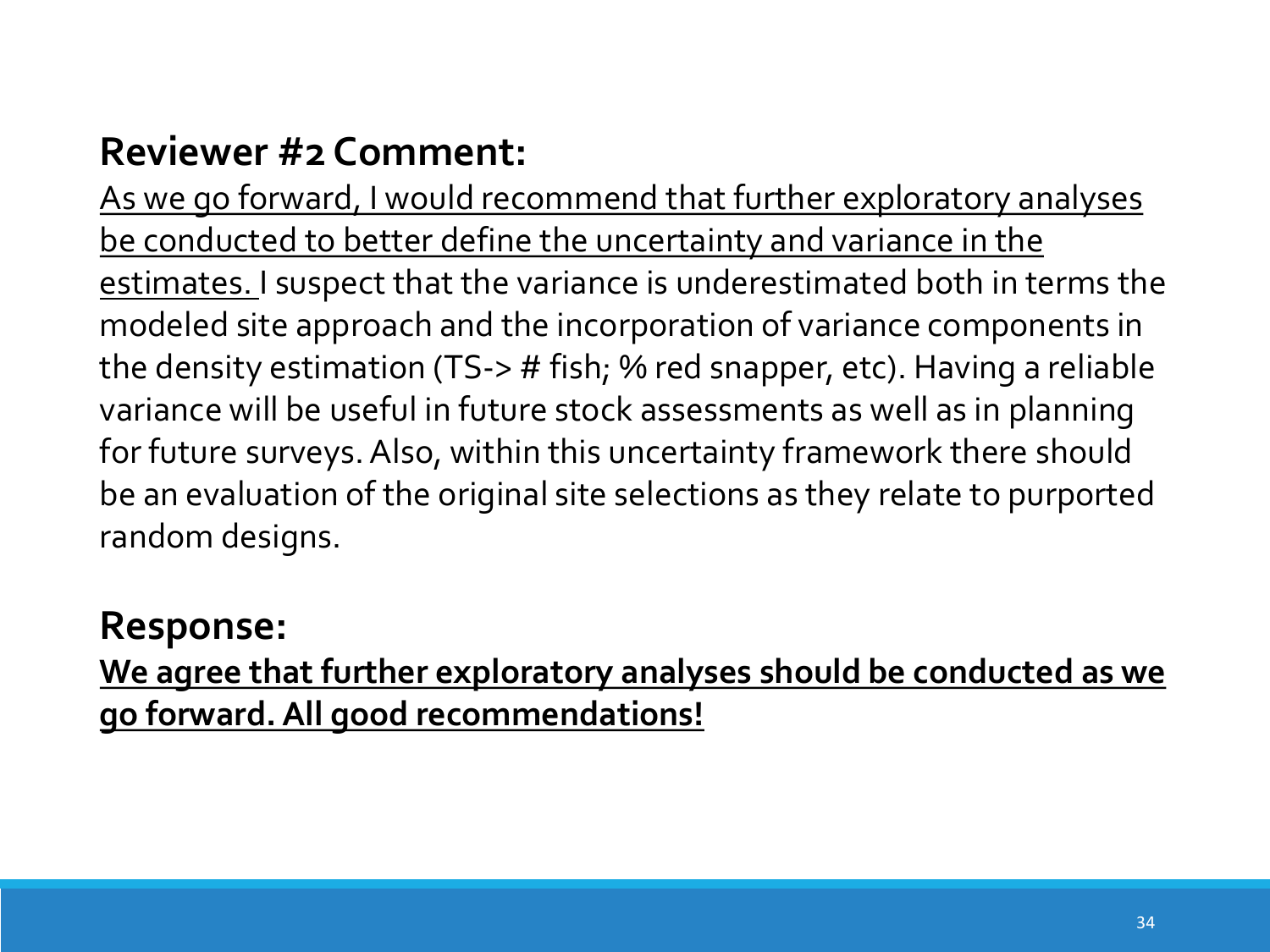As we go forward, I would recommend that further exploratory analyses be conducted to better define the uncertainty and variance in the estimates. I suspect that the variance is underestimated both in terms the modeled site approach and the incorporation of variance components in the density estimation (TS-> # fish; % red snapper, etc). Having a reliable variance will be useful in future stock assessments as well as in planning for future surveys. Also, within this uncertainty framework there should be an evaluation of the original site selections as they relate to purported random designs.

### **Response:**

**We agree that further exploratory analyses should be conducted as we go forward. All good recommendations!**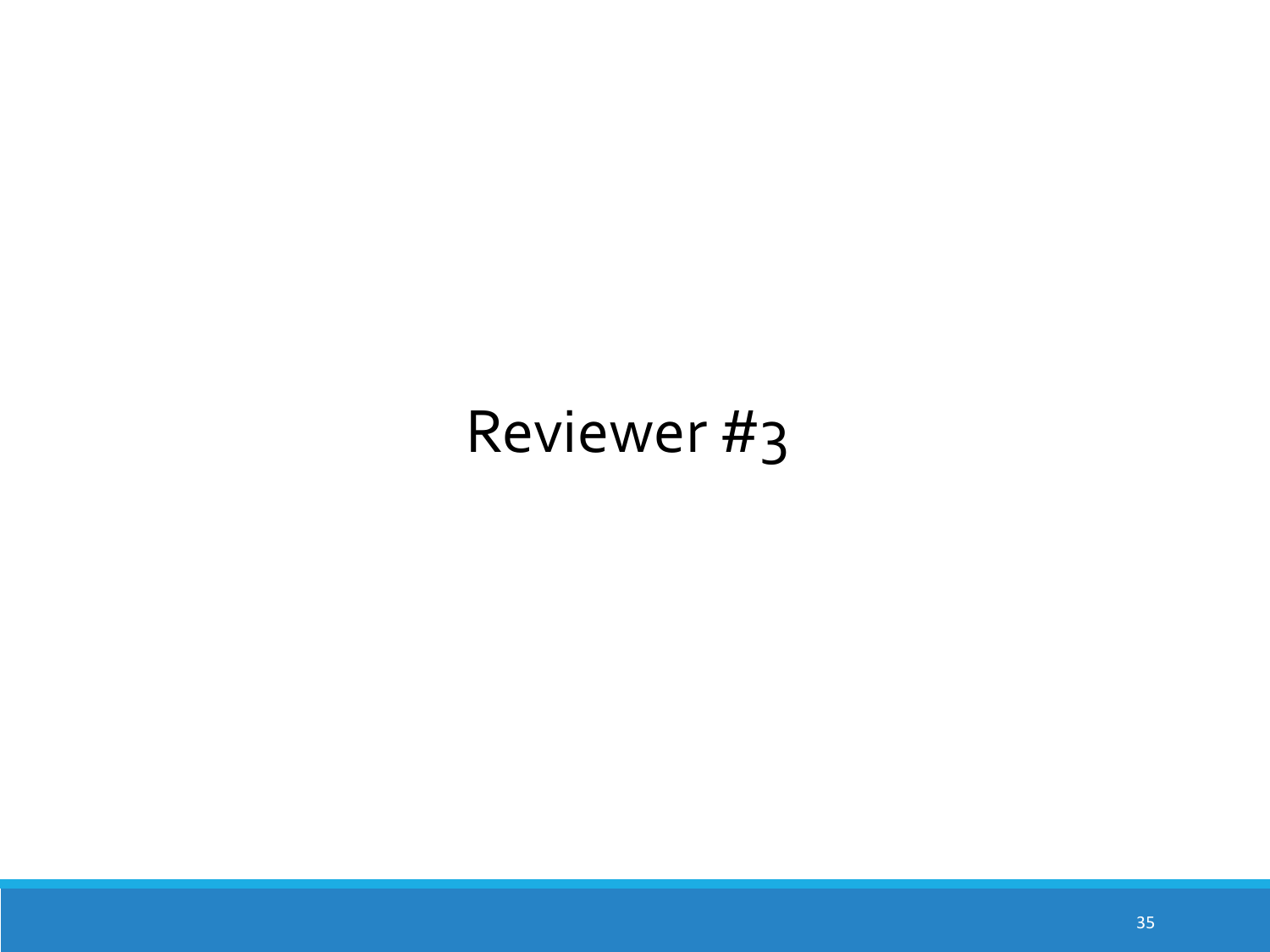# Reviewer #3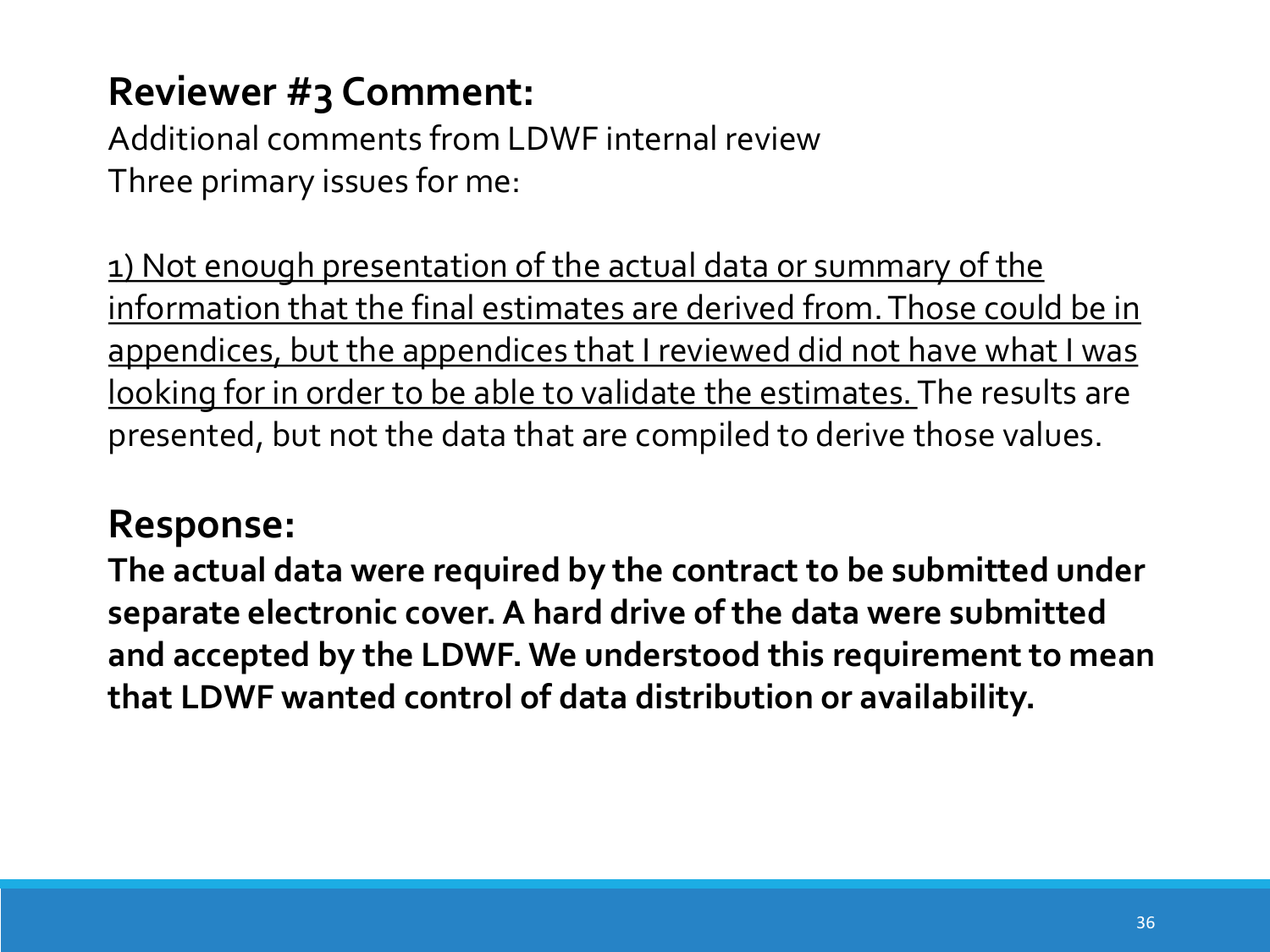Additional comments from LDWF internal review Three primary issues for me:

1) Not enough presentation of the actual data or summary of the information that the final estimates are derived from. Those could be in appendices, but the appendices that I reviewed did not have what I was looking for in order to be able to validate the estimates. The results are presented, but not the data that are compiled to derive those values.

#### **Response:**

**The actual data were required by the contract to be submitted under separate electronic cover. A hard drive of the data were submitted and accepted by the LDWF. We understood this requirement to mean that LDWF wanted control of data distribution or availability.**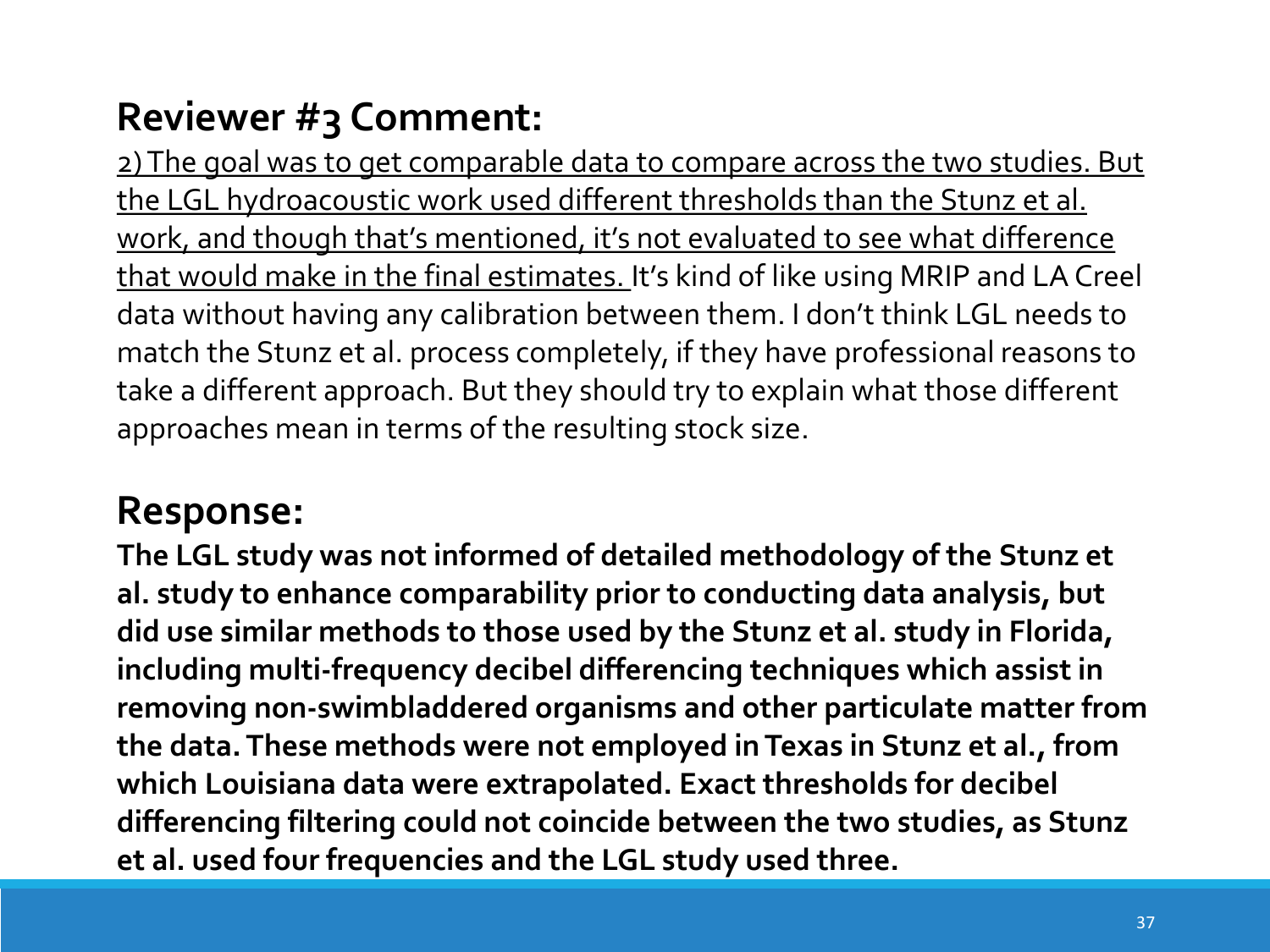2) The goal was to get comparable data to compare across the two studies. But the LGL hydroacoustic work used different thresholds than the Stunz et al. work, and though that's mentioned, it's not evaluated to see what difference that would make in the final estimates. It's kind of like using MRIP and LA Creel data without having any calibration between them. I don't think LGL needs to match the Stunz et al. process completely, if they have professional reasons to take a different approach. But they should try to explain what those different approaches mean in terms of the resulting stock size.

### **Response:**

**The LGL study was not informed of detailed methodology of the Stunz et al. study to enhance comparability prior to conducting data analysis, but did use similar methods to those used by the Stunz et al. study in Florida, including multi-frequency decibel differencing techniques which assist in removing non-swimbladdered organisms and other particulate matter from the data. These methods were not employed in Texas in Stunz et al., from which Louisiana data were extrapolated. Exact thresholds for decibel differencing filtering could not coincide between the two studies, as Stunz et al. used four frequencies and the LGL study used three.**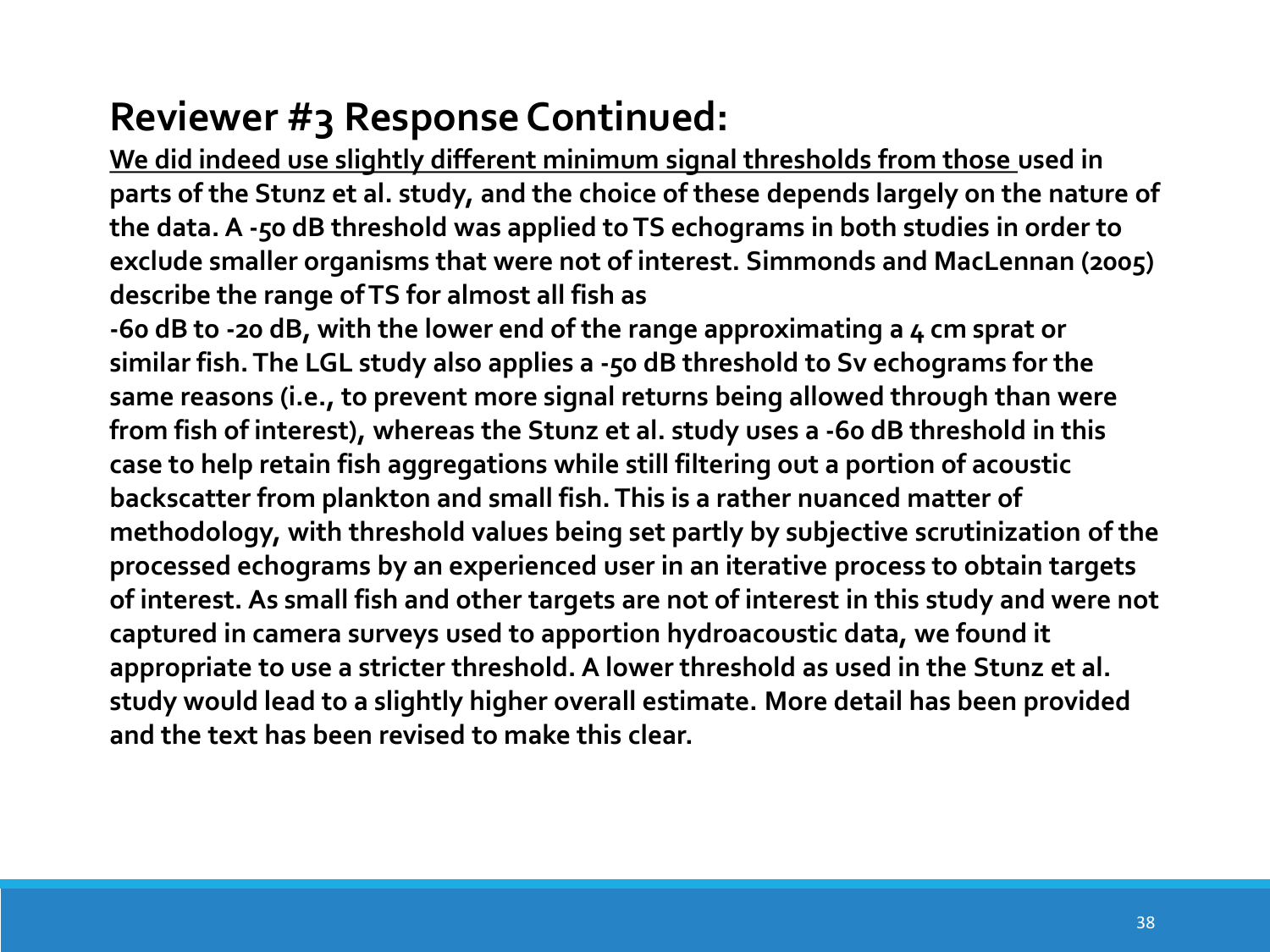# **Reviewer #3 Response Continued:**

**We did indeed use slightly different minimum signal thresholds from those used in parts of the Stunz et al. study, and the choice of these depends largely on the nature of the data. A -50 dB threshold was applied to TS echograms in both studies in order to exclude smaller organisms that were not of interest. Simmonds and MacLennan (2005) describe the range of TS for almost all fish as**

**-60 dB to -20 dB, with the lower end of the range approximating a 4 cm sprat or similar fish. The LGL study also applies a -50 dB threshold to Sv echograms for the same reasons (i.e., to prevent more signal returns being allowed through than were from fish of interest), whereas the Stunz et al. study uses a -60 dB threshold in this case to help retain fish aggregations while still filtering out a portion of acoustic backscatter from plankton and small fish. This is a rather nuanced matter of methodology, with threshold values being set partly by subjective scrutinization of the processed echograms by an experienced user in an iterative process to obtain targets of interest. As small fish and other targets are not of interest in this study and were not captured in camera surveys used to apportion hydroacoustic data, we found it appropriate to use a stricter threshold. A lower threshold as used in the Stunz et al. study would lead to a slightly higher overall estimate. More detail has been provided and the text has been revised to make this clear.**